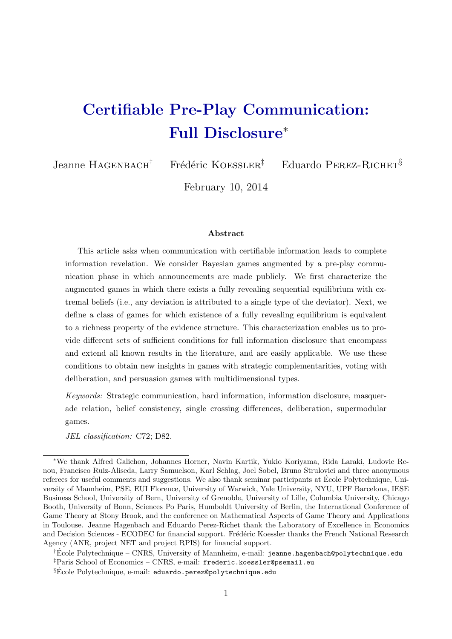# Certifiable Pre-Play Communication: Full Disclosure<sup>∗</sup>

Jeanne HAGENBACH<sup>†</sup> Frédéric KOESSLER<sup>‡</sup> Eduardo PEREZ-RICHET<sup>§</sup>

February 10, 2014

#### Abstract

This article asks when communication with certifiable information leads to complete information revelation. We consider Bayesian games augmented by a pre-play communication phase in which announcements are made publicly. We first characterize the augmented games in which there exists a fully revealing sequential equilibrium with extremal beliefs (i.e., any deviation is attributed to a single type of the deviator). Next, we define a class of games for which existence of a fully revealing equilibrium is equivalent to a richness property of the evidence structure. This characterization enables us to provide different sets of sufficient conditions for full information disclosure that encompass and extend all known results in the literature, and are easily applicable. We use these conditions to obtain new insights in games with strategic complementarities, voting with deliberation, and persuasion games with multidimensional types.

Keywords: Strategic communication, hard information, information disclosure, masquerade relation, belief consistency, single crossing differences, deliberation, supermodular games.

JEL classification: C72; D82.

<sup>∗</sup>We thank Alfred Galichon, Johannes Horner, Navin Kartik, Yukio Koriyama, Rida Laraki, Ludovic Renou, Francisco Ruiz-Aliseda, Larry Samuelson, Karl Schlag, Joel Sobel, Bruno Strulovici and three anonymous referees for useful comments and suggestions. We also thank seminar participants at École Polytechnique, University of Mannheim, PSE, EUI Florence, University of Warwick, Yale University, NYU, UPF Barcelona, IESE Business School, University of Bern, University of Grenoble, University of Lille, Columbia University, Chicago Booth, University of Bonn, Sciences Po Paris, Humboldt University of Berlin, the International Conference of Game Theory at Stony Brook, and the conference on Mathematical Aspects of Game Theory and Applications in Toulouse. Jeanne Hagenbach and Eduardo Perez-Richet thank the Laboratory of Excellence in Economics and Decision Sciences - ECODEC for financial support. Frédéric Koessler thanks the French National Research Agency (ANR, project NET and project RPIS) for financial support.

<sup>†</sup>Ecole Polytechnique – CNRS, University of Mannheim, e-mail: ´ jeanne.hagenbach@polytechnique.edu ‡Paris School of Economics – CNRS, e-mail: frederic.koessler@psemail.eu

<sup>§</sup>Ecole Polytechnique, e-mail: eduardo.perez@polytechnique.edu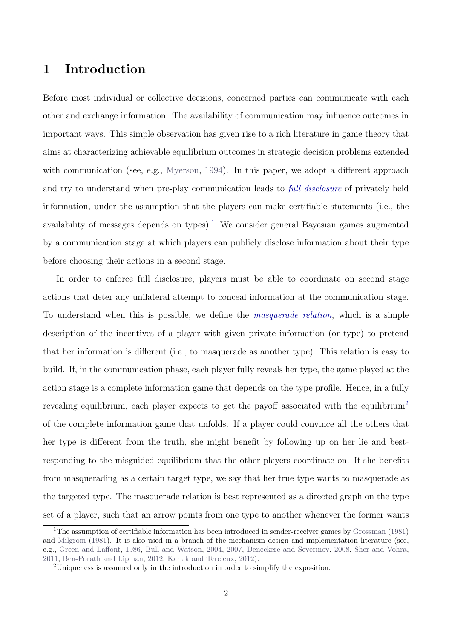### 1 Introduction

Before most individual or collective decisions, concerned parties can communicate with each other and exchange information. The availability of communication may influence outcomes in important ways. This simple observation has given rise to a rich literature in game theory that aims at characterizing achievable equilibrium outcomes in strategic decision problems extended with communication (see, e.g., [Myerson,](#page-45-0) [1994\)](#page-45-0). In this paper, we adopt a different approach and try to understand when pre-play communication leads to full disclosure of privately held information, under the assumption that the players can make certifiable statements (i.e., the availability of messages depends on types).<sup>[1](#page-1-0)</sup> We consider general Bayesian games augmented by a communication stage at which players can publicly disclose information about their type before choosing their actions in a second stage.

In order to enforce full disclosure, players must be able to coordinate on second stage actions that deter any unilateral attempt to conceal information at the communication stage. To understand when this is possible, we define the masquerade relation, which is a simple description of the incentives of a player with given private information (or type) to pretend that her information is different (i.e., to masquerade as another type). This relation is easy to build. If, in the communication phase, each player fully reveals her type, the game played at the action stage is a complete information game that depends on the type profile. Hence, in a fully revealing equilibrium, each player expects to get the payoff associated with the equilibrium<sup>[2](#page-1-1)</sup> of the complete information game that unfolds. If a player could convince all the others that her type is different from the truth, she might benefit by following up on her lie and bestresponding to the misguided equilibrium that the other players coordinate on. If she benefits from masquerading as a certain target type, we say that her true type wants to masquerade as the targeted type. The masquerade relation is best represented as a directed graph on the type set of a player, such that an arrow points from one type to another whenever the former wants

<span id="page-1-0"></span><sup>&</sup>lt;sup>1</sup>The assumption of certifiable information has been introduced in sender-receiver games by [Grossman](#page-44-0) [\(1981\)](#page-44-0) and [Milgrom](#page-44-1) [\(1981\)](#page-44-1). It is also used in a branch of the mechanism design and implementation literature (see, e.g., [Green and Laffont,](#page-44-2) [1986,](#page-44-2) [Bull and Watson,](#page-43-0) [2004,](#page-43-0) [2007,](#page-43-1) [Deneckere and Severinov,](#page-44-3) [2008,](#page-44-3) [Sher and Vohra,](#page-45-1) [2011,](#page-45-1) [Ben-Porath and Lipman,](#page-43-2) [2012,](#page-43-2) [Kartik and Tercieux,](#page-44-4) [2012\)](#page-44-4).

<span id="page-1-1"></span><sup>2</sup>Uniqueness is assumed only in the introduction in order to simplify the exposition.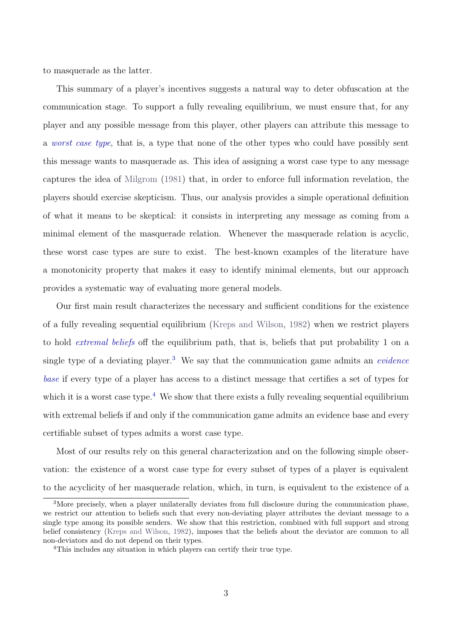to masquerade as the latter.

This summary of a player's incentives suggests a natural way to deter obfuscation at the communication stage. To support a fully revealing equilibrium, we must ensure that, for any player and any possible message from this player, other players can attribute this message to a worst case type, that is, a type that none of the other types who could have possibly sent this message wants to masquerade as. This idea of assigning a worst case type to any message captures the idea of [Milgrom](#page-44-1) [\(1981\)](#page-44-1) that, in order to enforce full information revelation, the players should exercise skepticism. Thus, our analysis provides a simple operational definition of what it means to be skeptical: it consists in interpreting any message as coming from a minimal element of the masquerade relation. Whenever the masquerade relation is acyclic, these worst case types are sure to exist. The best-known examples of the literature have a monotonicity property that makes it easy to identify minimal elements, but our approach provides a systematic way of evaluating more general models.

Our first main result characterizes the necessary and sufficient conditions for the existence of a fully revealing sequential equilibrium [\(Kreps and Wilson,](#page-44-5) [1982\)](#page-44-5) when we restrict players to hold extremal beliefs off the equilibrium path, that is, beliefs that put probability 1 on a single type of a deviating player.<sup>[3](#page-2-0)</sup> We say that the communication game admits an *evidence* base if every type of a player has access to a distinct message that certifies a set of types for which it is a worst case type.<sup>[4](#page-2-1)</sup> We show that there exists a fully revealing sequential equilibrium with extremal beliefs if and only if the communication game admits an evidence base and every certifiable subset of types admits a worst case type.

Most of our results rely on this general characterization and on the following simple observation: the existence of a worst case type for every subset of types of a player is equivalent to the acyclicity of her masquerade relation, which, in turn, is equivalent to the existence of a

<span id="page-2-0"></span><sup>3</sup>More precisely, when a player unilaterally deviates from full disclosure during the communication phase, we restrict our attention to beliefs such that every non-deviating player attributes the deviant message to a single type among its possible senders. We show that this restriction, combined with full support and strong belief consistency [\(Kreps and Wilson,](#page-44-5) [1982\)](#page-44-5), imposes that the beliefs about the deviator are common to all non-deviators and do not depend on their types.

<span id="page-2-1"></span><sup>4</sup>This includes any situation in which players can certify their true type.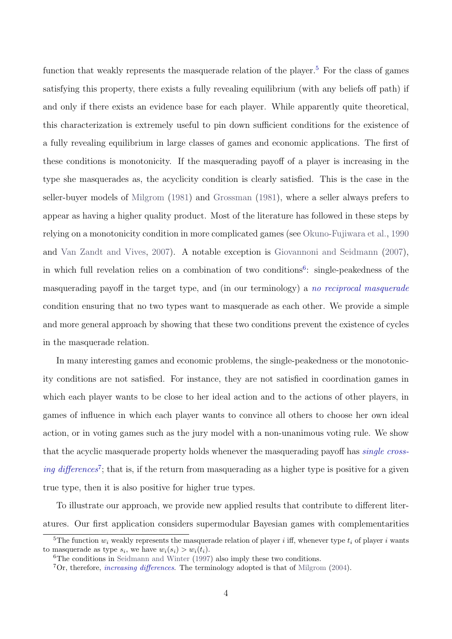function that weakly represents the masquerade relation of the player.<sup>[5](#page-3-0)</sup> For the class of games satisfying this property, there exists a fully revealing equilibrium (with any beliefs off path) if and only if there exists an evidence base for each player. While apparently quite theoretical, this characterization is extremely useful to pin down sufficient conditions for the existence of a fully revealing equilibrium in large classes of games and economic applications. The first of these conditions is monotonicity. If the masquerading payoff of a player is increasing in the type she masquerades as, the acyclicity condition is clearly satisfied. This is the case in the seller-buyer models of [Milgrom](#page-44-1) [\(1981\)](#page-44-1) and [Grossman](#page-44-0) [\(1981\)](#page-44-0), where a seller always prefers to appear as having a higher quality product. Most of the literature has followed in these steps by relying on a monotonicity condition in more complicated games (see [Okuno-Fujiwara et al.,](#page-45-2) [1990](#page-45-2) and [Van Zandt and Vives,](#page-45-3) [2007\)](#page-45-3). A notable exception is [Giovannoni and Seidmann](#page-44-6) [\(2007\)](#page-44-6), in which full revelation relies on a combination of two conditions<sup>[6](#page-3-1)</sup>: single-peakedness of the masquerading payoff in the target type, and (in our terminology) a no reciprocal masquerade condition ensuring that no two types want to masquerade as each other. We provide a simple and more general approach by showing that these two conditions prevent the existence of cycles in the masquerade relation.

In many interesting games and economic problems, the single-peakedness or the monotonicity conditions are not satisfied. For instance, they are not satisfied in coordination games in which each player wants to be close to her ideal action and to the actions of other players, in games of influence in which each player wants to convince all others to choose her own ideal action, or in voting games such as the jury model with a non-unanimous voting rule. We show that the acyclic masquerade property holds whenever the masquerading payoff has single cross-ing differences<sup>[7](#page-3-2)</sup>; that is, if the return from masquerading as a higher type is positive for a given true type, then it is also positive for higher true types.

To illustrate our approach, we provide new applied results that contribute to different literatures. Our first application considers supermodular Bayesian games with complementarities

<span id="page-3-0"></span><sup>&</sup>lt;sup>5</sup>The function  $w_i$  weakly represents the masquerade relation of player i iff, whenever type  $t_i$  of player i wants to masquerade as type  $s_i$ , we have  $w_i(s_i) > w_i(t_i)$ .

<span id="page-3-1"></span> ${}^{6}$ The conditions in [Seidmann and Winter](#page-45-4) [\(1997\)](#page-45-4) also imply these two conditions.

<span id="page-3-2"></span> ${}^{7}$ Or, therefore, *increasing differences*. The terminology adopted is that of [Milgrom](#page-44-7) [\(2004\)](#page-44-7).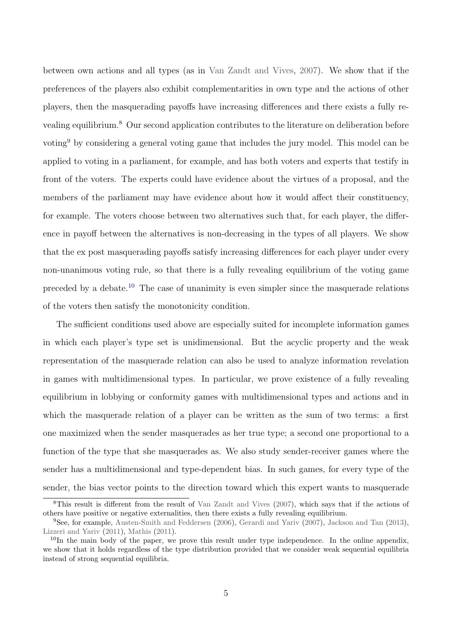between own actions and all types (as in [Van Zandt and Vives,](#page-45-3) [2007\)](#page-45-3). We show that if the preferences of the players also exhibit complementarities in own type and the actions of other players, then the masquerading payoffs have increasing differences and there exists a fully revealing equilibrium.[8](#page-4-0) Our second application contributes to the literature on deliberation before voting<sup>[9](#page-4-1)</sup> by considering a general voting game that includes the jury model. This model can be applied to voting in a parliament, for example, and has both voters and experts that testify in front of the voters. The experts could have evidence about the virtues of a proposal, and the members of the parliament may have evidence about how it would affect their constituency, for example. The voters choose between two alternatives such that, for each player, the difference in payoff between the alternatives is non-decreasing in the types of all players. We show that the ex post masquerading payoffs satisfy increasing differences for each player under every non-unanimous voting rule, so that there is a fully revealing equilibrium of the voting game preceded by a debate.<sup>[10](#page-4-2)</sup> The case of unanimity is even simpler since the masquerade relations of the voters then satisfy the monotonicity condition.

The sufficient conditions used above are especially suited for incomplete information games in which each player's type set is unidimensional. But the acyclic property and the weak representation of the masquerade relation can also be used to analyze information revelation in games with multidimensional types. In particular, we prove existence of a fully revealing equilibrium in lobbying or conformity games with multidimensional types and actions and in which the masquerade relation of a player can be written as the sum of two terms: a first one maximized when the sender masquerades as her true type; a second one proportional to a function of the type that she masquerades as. We also study sender-receiver games where the sender has a multidimensional and type-dependent bias. In such games, for every type of the sender, the bias vector points to the direction toward which this expert wants to masquerade

<span id="page-4-0"></span><sup>8</sup>This result is different from the result of [Van Zandt and Vives](#page-45-3) [\(2007\)](#page-45-3), which says that if the actions of others have positive or negative externalities, then there exists a fully revealing equilibrium.

<span id="page-4-1"></span><sup>9</sup>See, for example, [Austen-Smith and Feddersen](#page-43-3) [\(2006\)](#page-43-3), [Gerardi and Yariv](#page-44-8) [\(2007\)](#page-44-8), [Jackson and Tan](#page-44-9) [\(2013\)](#page-44-9), [Lizzeri and Yariv](#page-44-10) [\(2011\)](#page-44-10), [Mathis](#page-44-11) [\(2011\)](#page-44-11).

<span id="page-4-2"></span><sup>&</sup>lt;sup>10</sup>In the main body of the paper, we prove this result under type independence. In the online appendix, we show that it holds regardless of the type distribution provided that we consider weak sequential equilibria instead of strong sequential equilibria.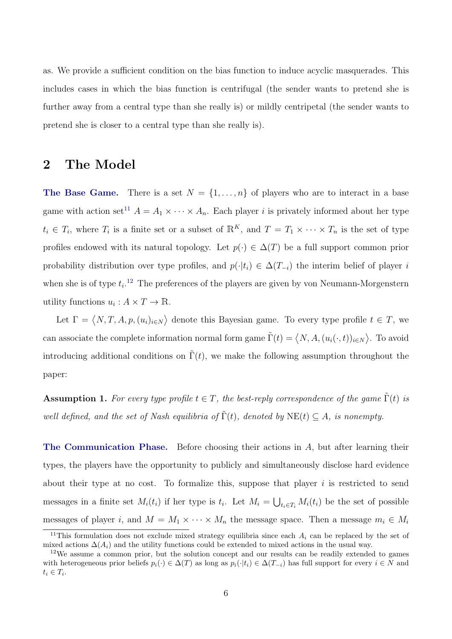as. We provide a sufficient condition on the bias function to induce acyclic masquerades. This includes cases in which the bias function is centrifugal (the sender wants to pretend she is further away from a central type than she really is) or mildly centripetal (the sender wants to pretend she is closer to a central type than she really is).

### 2 The Model

**The Base Game.** There is a set  $N = \{1, \ldots, n\}$  of players who are to interact in a base game with action set<sup>[11](#page-5-0)</sup>  $A = A_1 \times \cdots \times A_n$ . Each player *i* is privately informed about her type  $t_i \in T_i$ , where  $T_i$  is a finite set or a subset of  $\mathbb{R}^K$ , and  $T = T_1 \times \cdots \times T_n$  is the set of type profiles endowed with its natural topology. Let  $p(\cdot) \in \Delta(T)$  be a full support common prior probability distribution over type profiles, and  $p(\cdot|t_i) \in \Delta(T_{-i})$  the interim belief of player i when she is of type  $t_i$ <sup>[12](#page-5-1)</sup> The preferences of the players are given by von Neumann-Morgenstern utility functions  $u_i: A \times T \to \mathbb{R}$ .

Let  $\Gamma = \langle N, T, A, p, (u_i)_{i \in N} \rangle$  denote this Bayesian game. To every type profile  $t \in T$ , we can associate the complete information normal form game  $\tilde{\Gamma}(t) = \langle N, A, (u_i(\cdot, t))_{i \in N} \rangle$ . To avoid introducing additional conditions on  $\Gamma(t)$ , we make the following assumption throughout the paper:

**Assumption 1.** For every type profile  $t \in T$ , the best-reply correspondence of the game  $\Gamma(t)$  is well defined, and the set of Nash equilibria of  $\tilde{\Gamma}(t)$ , denoted by  $NE(t) \subseteq A$ , is nonempty.

The Communication Phase. Before choosing their actions in A, but after learning their types, the players have the opportunity to publicly and simultaneously disclose hard evidence about their type at no cost. To formalize this, suppose that player  $i$  is restricted to send messages in a finite set  $M_i(t_i)$  if her type is  $t_i$ . Let  $M_i = \bigcup_{t_i \in T_i} M_i(t_i)$  be the set of possible messages of player i, and  $M = M_1 \times \cdots \times M_n$  the message space. Then a message  $m_i \in M_i$ 

<span id="page-5-0"></span><sup>&</sup>lt;sup>11</sup>This formulation does not exclude mixed strategy equilibria since each  $A_i$  can be replaced by the set of mixed actions  $\Delta(A_i)$  and the utility functions could be extended to mixed actions in the usual way.

<span id="page-5-1"></span><sup>12</sup>We assume a common prior, but the solution concept and our results can be readily extended to games with heterogeneous prior beliefs  $p_i(\cdot) \in \Delta(T)$  as long as  $p_i(\cdot|t_i) \in \Delta(T_{-i})$  has full support for every  $i \in N$  and  $t_i \in T_i$ .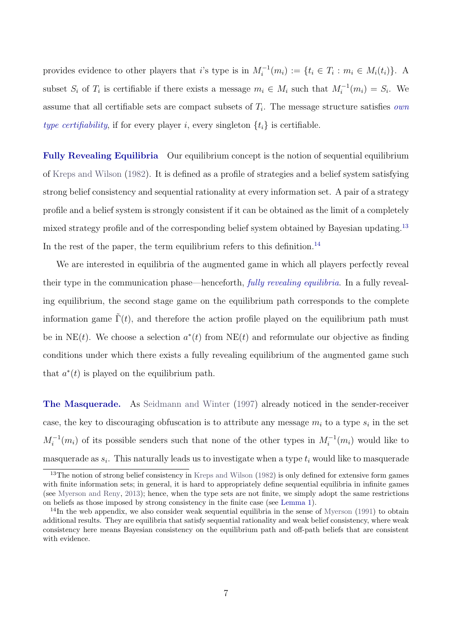provides evidence to other players that i's type is in  $M_i^{-1}(m_i) := \{t_i \in T_i : m_i \in M_i(t_i)\}\.$  A subset  $S_i$  of  $T_i$  is certifiable if there exists a message  $m_i \in M_i$  such that  $M_i^{-1}(m_i) = S_i$ . We assume that all certifiable sets are compact subsets of  $T_i$ . The message structure satisfies *own* type certifiability, if for every player i, every singleton  $\{t_i\}$  is certifiable.

Fully Revealing Equilibria Our equilibrium concept is the notion of sequential equilibrium of [Kreps and Wilson](#page-44-5) [\(1982\)](#page-44-5). It is defined as a profile of strategies and a belief system satisfying strong belief consistency and sequential rationality at every information set. A pair of a strategy profile and a belief system is strongly consistent if it can be obtained as the limit of a completely mixed strategy profile and of the corresponding belief system obtained by Bayesian updating.[13](#page-6-0) In the rest of the paper, the term equilibrium refers to this definition.<sup>[14](#page-6-1)</sup>

We are interested in equilibria of the augmented game in which all players perfectly reveal their type in the communication phase—henceforth, fully revealing equilibria. In a fully revealing equilibrium, the second stage game on the equilibrium path corresponds to the complete information game  $\Gamma(t)$ , and therefore the action profile played on the equilibrium path must be in NE(t). We choose a selection  $a^*(t)$  from NE(t) and reformulate our objective as finding conditions under which there exists a fully revealing equilibrium of the augmented game such that  $a^*(t)$  is played on the equilibrium path.

The Masquerade. As [Seidmann and Winter](#page-45-4) [\(1997\)](#page-45-4) already noticed in the sender-receiver case, the key to discouraging obfuscation is to attribute any message  $m_i$  to a type  $s_i$  in the set  $M_i^{-1}(m_i)$  of its possible senders such that none of the other types in  $M_i^{-1}(m_i)$  would like to masquerade as  $s_i$ . This naturally leads us to investigate when a type  $t_i$  would like to masquerade

<span id="page-6-0"></span><sup>&</sup>lt;sup>13</sup>The notion of strong belief consistency in [Kreps and Wilson](#page-44-5) [\(1982\)](#page-44-5) is only defined for extensive form games with finite information sets; in general, it is hard to appropriately define sequential equilibria in infinite games (see [Myerson and Reny,](#page-45-5) [2013\)](#page-45-5); hence, when the type sets are not finite, we simply adopt the same restrictions on beliefs as those imposed by strong consistency in the finite case (see [Lemma 1\)](#page-11-0).

<span id="page-6-1"></span><sup>&</sup>lt;sup>14</sup>In the web appendix, we also consider weak sequential equilibria in the sense of [Myerson](#page-45-6) [\(1991\)](#page-45-6) to obtain additional results. They are equilibria that satisfy sequential rationality and weak belief consistency, where weak consistency here means Bayesian consistency on the equilibrium path and off-path beliefs that are consistent with evidence.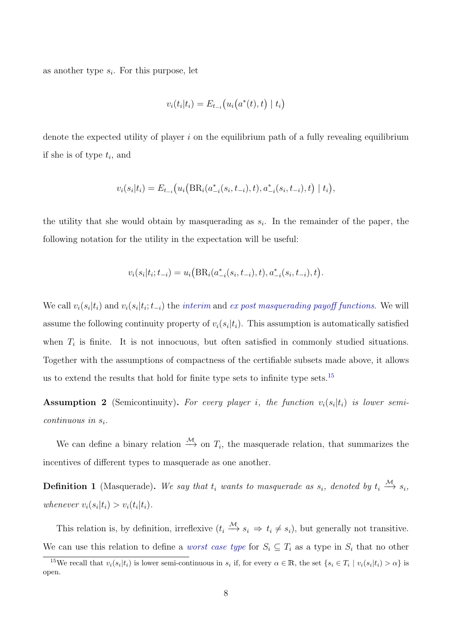as another type  $s_i$ . For this purpose, let

$$
v_i(t_i|t_i) = E_{t_{-i}}(u_i(a^*(t), t) | t_i)
$$

denote the expected utility of player  $i$  on the equilibrium path of a fully revealing equilibrium if she is of type  $t_i$ , and

$$
v_i(s_i|t_i) = E_{t_{-i}}(u_i\big(\text{BR}_i(a_{-i}^*(s_i, t_{-i}), t), a_{-i}^*(s_i, t_{-i}), t\big) | t_i),
$$

the utility that she would obtain by masquerading as  $s_i$ . In the remainder of the paper, the following notation for the utility in the expectation will be useful:

$$
v_i(s_i|t_i; t_{-i}) = u_i\big(BR_i(a_{-i}^*(s_i, t_{-i}), t), a_{-i}^*(s_i, t_{-i}), t\big).
$$

We call  $v_i(s_i|t_i)$  and  $v_i(s_i|t_i; t_{-i})$  the interim and ex post masquerading payoff functions. We will assume the following continuity property of  $v_i(s_i|t_i)$ . This assumption is automatically satisfied when  $T_i$  is finite. It is not innocuous, but often satisfied in commonly studied situations. Together with the assumptions of compactness of the certifiable subsets made above, it allows us to extend the results that hold for finite type sets to infinite type sets.[15](#page-7-0)

**Assumption 2** (Semicontinuity). For every player *i*, the function  $v_i(s_i|t_i)$  is lower semicontinuous in  $s_i$ .

We can define a binary relation  $\stackrel{\mathcal{M}}{\longrightarrow}$  on  $T_i$ , the masquerade relation, that summarizes the incentives of different types to masquerade as one another.

**Definition 1** (Masquerade). We say that  $t_i$  wants to masquerade as  $s_i$ , denoted by  $t_i \stackrel{\mathcal{M}}{\longrightarrow} s_i$ , whenever  $v_i(s_i|t_i) > v_i(t_i|t_i)$ .

This relation is, by definition, irreflexive  $(t_i \xrightarrow{M} s_i \Rightarrow t_i \neq s_i)$ , but generally not transitive. We can use this relation to define a *worst case type* for  $S_i \subseteq T_i$  as a type in  $S_i$  that no other

<span id="page-7-0"></span><sup>&</sup>lt;sup>15</sup>We recall that  $v_i(s_i|t_i)$  is lower semi-continuous in  $s_i$  if, for every  $\alpha \in \mathbb{R}$ , the set  $\{s_i \in T_i \mid v_i(s_i|t_i) > \alpha\}$  is open.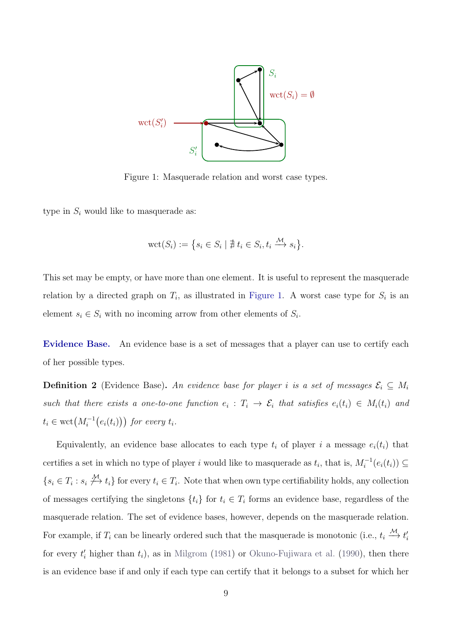

<span id="page-8-0"></span>Figure 1: Masquerade relation and worst case types.

type in  $S_i$  would like to masquerade as:

$$
\text{wct}(S_i) := \left\{ s_i \in S_i \mid \nexists t_i \in S_i, t_i \xrightarrow{M} s_i \right\}.
$$

This set may be empty, or have more than one element. It is useful to represent the masquerade relation by a directed graph on  $T_i$ , as illustrated in [Figure 1.](#page-8-0) A worst case type for  $S_i$  is an element  $s_i \in S_i$  with no incoming arrow from other elements of  $S_i$ .

Evidence Base. An evidence base is a set of messages that a player can use to certify each of her possible types.

**Definition 2** (Evidence Base). An evidence base for player i is a set of messages  $\mathcal{E}_i \subseteq M_i$ such that there exists a one-to-one function  $e_i : T_i \to \mathcal{E}_i$  that satisfies  $e_i(t_i) \in M_i(t_i)$  and  $t_i \in \operatorname{wct}\left(M_i^{-1}\bigl(e_i(t_i)\bigr)\right)$  for every  $t_i$ .

Equivalently, an evidence base allocates to each type  $t_i$  of player i a message  $e_i(t_i)$  that certifies a set in which no type of player i would like to masquerade as  $t_i$ , that is,  $M_i^{-1}(e_i(t_i)) \subseteq$  $\{s_i \in T_i : s_i \nleftrightarrow u_i\}$  for every  $t_i \in T_i$ . Note that when own type certifiability holds, any collection of messages certifying the singletons  $\{t_i\}$  for  $t_i \in T_i$  forms an evidence base, regardless of the masquerade relation. The set of evidence bases, however, depends on the masquerade relation. For example, if  $T_i$  can be linearly ordered such that the masquerade is monotonic (i.e.,  $t_i \stackrel{\mathcal{M}}{\longrightarrow} t'_i$ for every  $t_i'$  higher than  $t_i$ ), as in [Milgrom](#page-44-1) [\(1981\)](#page-44-1) or [Okuno-Fujiwara et al.](#page-45-2) [\(1990\)](#page-45-2), then there is an evidence base if and only if each type can certify that it belongs to a subset for which her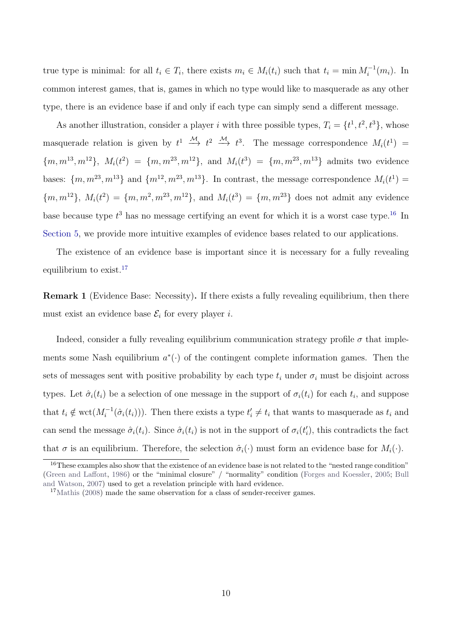true type is minimal: for all  $t_i \in T_i$ , there exists  $m_i \in M_i(t_i)$  such that  $t_i = \min M_i^{-1}(m_i)$ . In common interest games, that is, games in which no type would like to masquerade as any other type, there is an evidence base if and only if each type can simply send a different message.

As another illustration, consider a player *i* with three possible types,  $T_i = \{t^1, t^2, t^3\}$ , whose masquerade relation is given by  $t^1 \stackrel{M}{\longrightarrow} t^2 \stackrel{M}{\longrightarrow} t^3$ . The message correspondence  $M_i(t^1) =$  ${m, m^{13}, m^{12}}, M_i(t^2) = {m, m^{23}, m^{12}}, \text{ and } M_i(t^3) = {m, m^{23}, m^{13}}$  admits two evidence bases:  $\{m, m^{23}, m^{13}\}\$  and  $\{m^{12}, m^{23}, m^{13}\}\$ . In contrast, the message correspondence  $M_i(t^1)$  =  ${m, m^{12}}$ ,  $M_i(t^2) = {m, m^2, m^{23}, m^{12}}$ , and  $M_i(t^3) = {m, m^{23}}$  does not admit any evidence base because type  $t^3$  has no message certifying an event for which it is a worst case type.<sup>[16](#page-9-0)</sup> In [Section 5,](#page-20-0) we provide more intuitive examples of evidence bases related to our applications.

The existence of an evidence base is important since it is necessary for a fully revealing equilibrium to exist.<sup>[17](#page-9-1)</sup>

<span id="page-9-2"></span>Remark 1 (Evidence Base: Necessity). If there exists a fully revealing equilibrium, then there must exist an evidence base  $\mathcal{E}_i$  for every player *i*.

Indeed, consider a fully revealing equilibrium communication strategy profile  $\sigma$  that implements some Nash equilibrium  $a^*(\cdot)$  of the contingent complete information games. Then the sets of messages sent with positive probability by each type  $t_i$  under  $\sigma_i$  must be disjoint across types. Let  $\hat{\sigma}_i(t_i)$  be a selection of one message in the support of  $\sigma_i(t_i)$  for each  $t_i$ , and suppose that  $t_i \notin \text{wct}(M_i^{-1}(\hat{\sigma}_i(t_i)))$ . Then there exists a type  $t_i' \neq t_i$  that wants to masquerade as  $t_i$  and can send the message  $\hat{\sigma}_i(t_i)$ . Since  $\hat{\sigma}_i(t_i)$  is not in the support of  $\sigma_i(t'_i)$ , this contradicts the fact that  $\sigma$  is an equilibrium. Therefore, the selection  $\hat{\sigma}_i(\cdot)$  must form an evidence base for  $M_i(\cdot)$ .

<span id="page-9-0"></span><sup>&</sup>lt;sup>16</sup>These examples also show that the existence of an evidence base is not related to the "nested range condition" [\(Green and Laffont,](#page-44-2) [1986\)](#page-44-2) or the "minimal closure" / "normality" condition [\(Forges and Koessler,](#page-44-12) [2005;](#page-44-12) [Bull](#page-43-1) [and Watson,](#page-43-1) [2007\)](#page-43-1) used to get a revelation principle with hard evidence.

<span id="page-9-1"></span><sup>&</sup>lt;sup>17</sup>[Mathis](#page-44-13) [\(2008\)](#page-44-13) made the same observation for a class of sender-receiver games.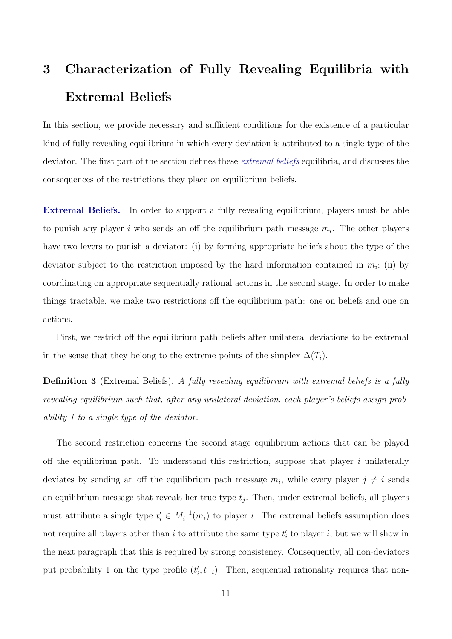# 3 Characterization of Fully Revealing Equilibria with Extremal Beliefs

In this section, we provide necessary and sufficient conditions for the existence of a particular kind of fully revealing equilibrium in which every deviation is attributed to a single type of the deviator. The first part of the section defines these *extremal beliefs* equilibria, and discusses the consequences of the restrictions they place on equilibrium beliefs.

Extremal Beliefs. In order to support a fully revealing equilibrium, players must be able to punish any player i who sends an off the equilibrium path message  $m_i$ . The other players have two levers to punish a deviator: (i) by forming appropriate beliefs about the type of the deviator subject to the restriction imposed by the hard information contained in  $m_i$ ; (ii) by coordinating on appropriate sequentially rational actions in the second stage. In order to make things tractable, we make two restrictions off the equilibrium path: one on beliefs and one on actions.

First, we restrict off the equilibrium path beliefs after unilateral deviations to be extremal in the sense that they belong to the extreme points of the simplex  $\Delta(T_i)$ .

**Definition 3** (Extremal Beliefs). A fully revealing equilibrium with extremal beliefs is a fully revealing equilibrium such that, after any unilateral deviation, each player's beliefs assign probability 1 to a single type of the deviator.

The second restriction concerns the second stage equilibrium actions that can be played off the equilibrium path. To understand this restriction, suppose that player i unilaterally deviates by sending an off the equilibrium path message  $m_i$ , while every player  $j \neq i$  sends an equilibrium message that reveals her true type  $t_j$ . Then, under extremal beliefs, all players must attribute a single type  $t'_{i} \in M_{i}^{-1}(m_{i})$  to player i. The extremal beliefs assumption does not require all players other than  $i$  to attribute the same type  $t'_{i}$  to player  $i$ , but we will show in the next paragraph that this is required by strong consistency. Consequently, all non-deviators put probability 1 on the type profile  $(t'_{i}, t_{-i})$ . Then, sequential rationality requires that non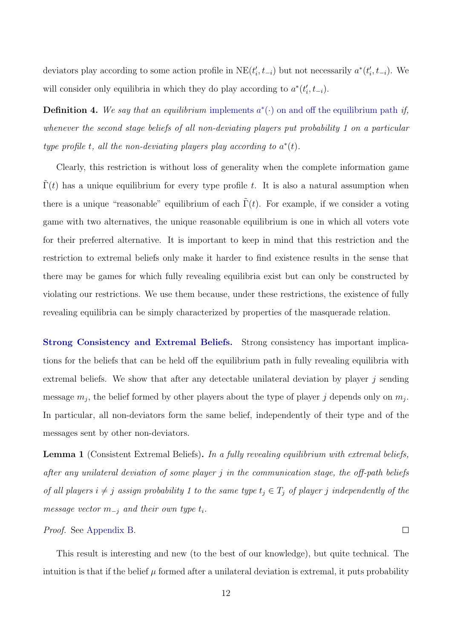deviators play according to some action profile in  $NE(t'_i, t_{-i})$  but not necessarily  $a^*(t'_i, t_{-i})$ . We will consider only equilibria in which they do play according to  $a^*(t'_i, t_{-i})$ .

**Definition 4.** We say that an equilibrium implements  $a^*(\cdot)$  on and off the equilibrium path if, whenever the second stage beliefs of all non-deviating players put probability 1 on a particular type profile t, all the non-deviating players play according to  $a^*(t)$ .

Clearly, this restriction is without loss of generality when the complete information game  $\Gamma(t)$  has a unique equilibrium for every type profile t. It is also a natural assumption when there is a unique "reasonable" equilibrium of each  $\Gamma(t)$ . For example, if we consider a voting game with two alternatives, the unique reasonable equilibrium is one in which all voters vote for their preferred alternative. It is important to keep in mind that this restriction and the restriction to extremal beliefs only make it harder to find existence results in the sense that there may be games for which fully revealing equilibria exist but can only be constructed by violating our restrictions. We use them because, under these restrictions, the existence of fully revealing equilibria can be simply characterized by properties of the masquerade relation.

Strong Consistency and Extremal Beliefs. Strong consistency has important implications for the beliefs that can be held off the equilibrium path in fully revealing equilibria with extremal beliefs. We show that after any detectable unilateral deviation by player  $j$  sending message  $m_j$ , the belief formed by other players about the type of player j depends only on  $m_j$ . In particular, all non-deviators form the same belief, independently of their type and of the messages sent by other non-deviators.

<span id="page-11-0"></span>Lemma 1 (Consistent Extremal Beliefs). In a fully revealing equilibrium with extremal beliefs, after any unilateral deviation of some player j in the communication stage, the off-path beliefs of all players  $i \neq j$  assign probability 1 to the same type  $t_j \in T_j$  of player j independently of the message vector  $m_{-j}$  and their own type  $t_i$ .

#### Proof. See [Appendix B.](#page-33-0)

This result is interesting and new (to the best of our knowledge), but quite technical. The intuition is that if the belief  $\mu$  formed after a unilateral deviation is extremal, it puts probability

 $\Box$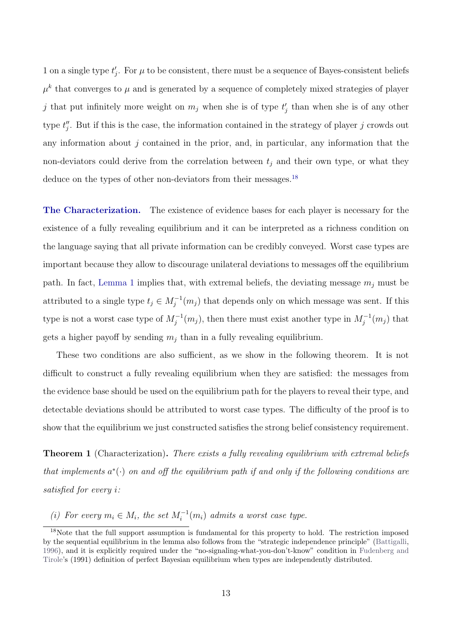1 on a single type  $t'_j$ . For  $\mu$  to be consistent, there must be a sequence of Bayes-consistent beliefs  $\mu^k$  that converges to  $\mu$  and is generated by a sequence of completely mixed strategies of player j that put infinitely more weight on  $m_j$  when she is of type  $t'_j$  than when she is of any other type  $t''_j$ . But if this is the case, the information contained in the strategy of player j crowds out any information about  $j$  contained in the prior, and, in particular, any information that the non-deviators could derive from the correlation between  $t_j$  and their own type, or what they deduce on the types of other non-deviators from their messages.<sup>[18](#page-12-0)</sup>

The Characterization. The existence of evidence bases for each player is necessary for the existence of a fully revealing equilibrium and it can be interpreted as a richness condition on the language saying that all private information can be credibly conveyed. Worst case types are important because they allow to discourage unilateral deviations to messages off the equilibrium path. In fact, [Lemma 1](#page-11-0) implies that, with extremal beliefs, the deviating message  $m_i$  must be attributed to a single type  $t_j \in M_j^{-1}(m_j)$  that depends only on which message was sent. If this type is not a worst case type of  $M_j^{-1}(m_j)$ , then there must exist another type in  $M_j^{-1}(m_j)$  that gets a higher payoff by sending  $m_i$  than in a fully revealing equilibrium.

These two conditions are also sufficient, as we show in the following theorem. It is not difficult to construct a fully revealing equilibrium when they are satisfied: the messages from the evidence base should be used on the equilibrium path for the players to reveal their type, and detectable deviations should be attributed to worst case types. The difficulty of the proof is to show that the equilibrium we just constructed satisfies the strong belief consistency requirement.

<span id="page-12-1"></span>**Theorem 1** (Characterization). There exists a fully revealing equilibrium with extremal beliefs that implements  $a^*(\cdot)$  on and off the equilibrium path if and only if the following conditions are satisfied for every i:

(i) For every  $m_i \in M_i$ , the set  $M_i^{-1}(m_i)$  admits a worst case type.

<span id="page-12-0"></span><sup>&</sup>lt;sup>18</sup>Note that the full support assumption is fundamental for this property to hold. The restriction imposed by the sequential equilibrium in the lemma also follows from the "strategic independence principle" [\(Battigalli,](#page-43-4) [1996\)](#page-43-4), and it is explicitly required under the "no-signaling-what-you-don't-know" condition in [Fudenberg and](#page-44-14) [Tirole'](#page-44-14)s (1991) definition of perfect Bayesian equilibrium when types are independently distributed.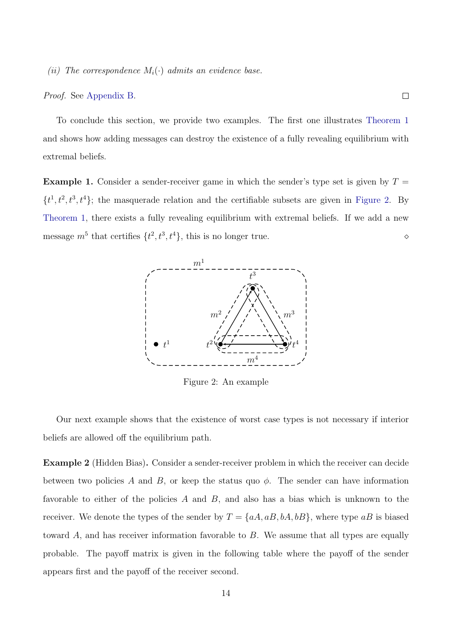(ii) The correspondence  $M_i(\cdot)$  admits an evidence base.

#### Proof. See [Appendix B.](#page-33-0)

To conclude this section, we provide two examples. The first one illustrates [Theorem 1](#page-12-1) and shows how adding messages can destroy the existence of a fully revealing equilibrium with extremal beliefs.

<span id="page-13-1"></span>**Example 1.** Consider a sender-receiver game in which the sender's type set is given by  $T =$  $\{t^1, t^2, t^3, t^4\}$ ; the masquerade relation and the certifiable subsets are given in [Figure 2.](#page-13-0) By [Theorem 1,](#page-12-1) there exists a fully revealing equilibrium with extremal beliefs. If we add a new message  $m^5$  that certifies  $\{t^2, t^3, t^4\}$ , this is no longer true.



<span id="page-13-0"></span>Figure 2: An example

Our next example shows that the existence of worst case types is not necessary if interior beliefs are allowed off the equilibrium path.

Example 2 (Hidden Bias). Consider a sender-receiver problem in which the receiver can decide between two policies A and B, or keep the status quo  $\phi$ . The sender can have information favorable to either of the policies  $A$  and  $B$ , and also has a bias which is unknown to the receiver. We denote the types of the sender by  $T = \{aA, aB, bA, bB\}$ , where type  $aB$  is biased toward A, and has receiver information favorable to B. We assume that all types are equally probable. The payoff matrix is given in the following table where the payoff of the sender appears first and the payoff of the receiver second.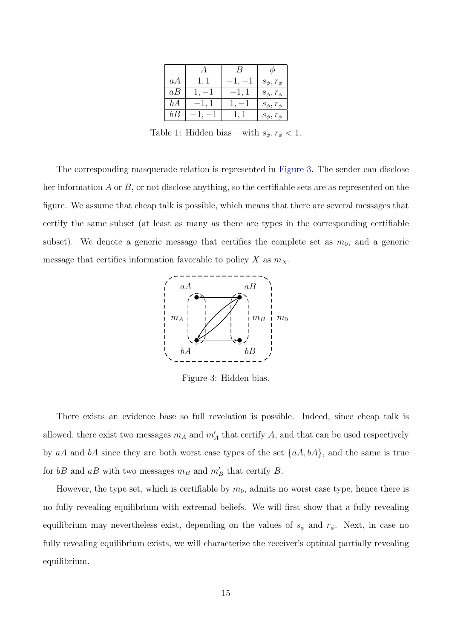| aΑ | 1, 1   |        | $s_{\phi}, r_{\phi}$ |
|----|--------|--------|----------------------|
| aB |        | $-1,1$ | $s_{\phi}, r_{\phi}$ |
| bA | $-1,1$ | $-1$   | $s_{\phi}, r_{\phi}$ |
| bB |        |        | $s_{\phi}, r_{\phi}$ |

Table 1: Hidden bias – with  $s_{\phi}, r_{\phi} < 1$ .

The corresponding masquerade relation is represented in [Figure 3.](#page-14-0) The sender can disclose her information  $A$  or  $B$ , or not disclose anything, so the certifiable sets are as represented on the figure. We assume that cheap talk is possible, which means that there are several messages that certify the same subset (at least as many as there are types in the corresponding certifiable subset). We denote a generic message that certifies the complete set as  $m_0$ , and a generic message that certifies information favorable to policy  $X$  as  $m_X$ .



<span id="page-14-0"></span>Figure 3: Hidden bias.

There exists an evidence base so full revelation is possible. Indeed, since cheap talk is allowed, there exist two messages  $m_A$  and  $m'_A$  that certify A, and that can be used respectively by aA and bA since they are both worst case types of the set  $\{aA, bA\}$ , and the same is true for  $bB$  and  $aB$  with two messages  $m_B$  and  $m'_B$  that certify B.

However, the type set, which is certifiable by  $m_0$ , admits no worst case type, hence there is no fully revealing equilibrium with extremal beliefs. We will first show that a fully revealing equilibrium may nevertheless exist, depending on the values of  $s_{\phi}$  and  $r_{\phi}$ . Next, in case no fully revealing equilibrium exists, we will characterize the receiver's optimal partially revealing equilibrium.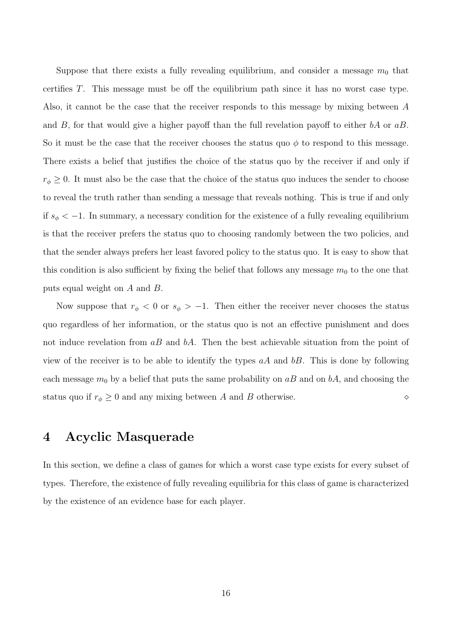Suppose that there exists a fully revealing equilibrium, and consider a message  $m_0$  that certifies T. This message must be off the equilibrium path since it has no worst case type. Also, it cannot be the case that the receiver responds to this message by mixing between A and B, for that would give a higher payoff than the full revelation payoff to either  $bA$  or  $aB$ . So it must be the case that the receiver chooses the status quo  $\phi$  to respond to this message. There exists a belief that justifies the choice of the status quo by the receiver if and only if  $r_{\phi} \geq 0$ . It must also be the case that the choice of the status quo induces the sender to choose to reveal the truth rather than sending a message that reveals nothing. This is true if and only if  $s_{\phi} < -1$ . In summary, a necessary condition for the existence of a fully revealing equilibrium is that the receiver prefers the status quo to choosing randomly between the two policies, and that the sender always prefers her least favored policy to the status quo. It is easy to show that this condition is also sufficient by fixing the belief that follows any message  $m_0$  to the one that puts equal weight on A and B.

Now suppose that  $r_{\phi} < 0$  or  $s_{\phi} > -1$ . Then either the receiver never chooses the status quo regardless of her information, or the status quo is not an effective punishment and does not induce revelation from  $aB$  and  $bA$ . Then the best achievable situation from the point of view of the receiver is to be able to identify the types  $aA$  and  $bB$ . This is done by following each message  $m_0$  by a belief that puts the same probability on  $aB$  and on  $bA$ , and choosing the status quo if  $r_{\phi} \ge 0$  and any mixing between A and B otherwise.

## 4 Acyclic Masquerade

In this section, we define a class of games for which a worst case type exists for every subset of types. Therefore, the existence of fully revealing equilibria for this class of game is characterized by the existence of an evidence base for each player.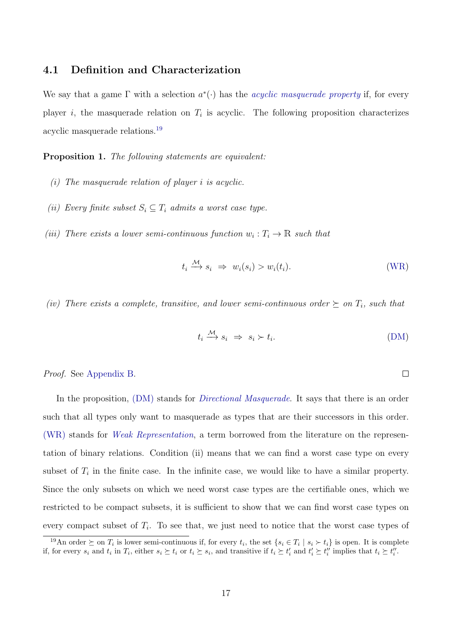#### 4.1 Definition and Characterization

We say that a game  $\Gamma$  with a selection  $a^*(\cdot)$  has the *acyclic masquerade property* if, for every player *i*, the masquerade relation on  $T_i$  is acyclic. The following proposition characterizes acyclic masquerade relations.[19](#page-16-0)

<span id="page-16-1"></span>Proposition 1. The following statements are equivalent:

- (i) The masquerade relation of player i is acyclic.
- (ii) Every finite subset  $S_i \subseteq T_i$  admits a worst case type.
- (iii) There exists a lower semi-continuous function  $w_i: T_i \to \mathbb{R}$  such that

$$
t_i \stackrel{\mathcal{M}}{\longrightarrow} s_i \Rightarrow w_i(s_i) > w_i(t_i). \tag{WR}
$$

(iv) There exists a complete, transitive, and lower semi-continuous order  $\succeq$  on  $T_i$ , such that

$$
t_i \xrightarrow{M} s_i \Rightarrow s_i \succ t_i. \tag{DM}
$$

 $\Box$ 

#### Proof. See [Appendix B.](#page-33-0)

In the proposition, (DM) stands for *Directional Masquerade*. It says that there is an order such that all types only want to masquerade as types that are their successors in this order. (WR) stands for Weak Representation, a term borrowed from the literature on the representation of binary relations. Condition (ii) means that we can find a worst case type on every subset of  $T_i$  in the finite case. In the infinite case, we would like to have a similar property. Since the only subsets on which we need worst case types are the certifiable ones, which we restricted to be compact subsets, it is sufficient to show that we can find worst case types on every compact subset of  $T_i$ . To see that, we just need to notice that the worst case types of

<span id="page-16-0"></span><sup>&</sup>lt;sup>19</sup>An order  $\succeq$  on  $T_i$  is lower semi-continuous if, for every  $t_i$ , the set  $\{s_i \in T_i \mid s_i \succ t_i\}$  is open. It is complete if, for every  $s_i$  and  $t_i$  in  $T_i$ , either  $s_i \succeq t_i$  or  $t_i \succeq s_i$ , and transitive if  $t_i \succeq t'_i$  and  $t'_i \succeq t''_i$  implies that  $t_i \succeq t''_i$ .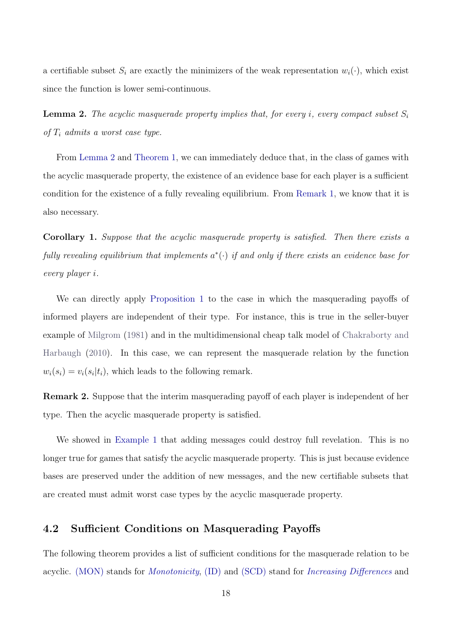a certifiable subset  $S_i$  are exactly the minimizers of the weak representation  $w_i(\cdot)$ , which exist since the function is lower semi-continuous.

<span id="page-17-0"></span>**Lemma 2.** The acyclic masquerade property implies that, for every i, every compact subset  $S_i$ of  $T_i$  admits a worst case type.

From [Lemma 2](#page-17-0) and [Theorem 1,](#page-12-1) we can immediately deduce that, in the class of games with the acyclic masquerade property, the existence of an evidence base for each player is a sufficient condition for the existence of a fully revealing equilibrium. From [Remark 1,](#page-9-2) we know that it is also necessary.

Corollary 1. Suppose that the acyclic masquerade property is satisfied. Then there exists a fully revealing equilibrium that implements  $a^*(\cdot)$  if and only if there exists an evidence base for every player i.

We can directly apply [Proposition 1](#page-16-1) to the case in which the masquerading payoffs of informed players are independent of their type. For instance, this is true in the seller-buyer example of [Milgrom](#page-44-1) [\(1981\)](#page-44-1) and in the multidimensional cheap talk model of [Chakraborty and](#page-44-15) [Harbaugh](#page-44-15) [\(2010\)](#page-44-15). In this case, we can represent the masquerade relation by the function  $w_i(s_i) = v_i(s_i|t_i)$ , which leads to the following remark.

<span id="page-17-1"></span>Remark 2. Suppose that the interim masquerading payoff of each player is independent of her type. Then the acyclic masquerade property is satisfied.

We showed in [Example 1](#page-13-1) that adding messages could destroy full revelation. This is no longer true for games that satisfy the acyclic masquerade property. This is just because evidence bases are preserved under the addition of new messages, and the new certifiable subsets that are created must admit worst case types by the acyclic masquerade property.

### 4.2 Sufficient Conditions on Masquerading Payoffs

The following theorem provides a list of sufficient conditions for the masquerade relation to be acyclic. (MON) stands for *Monotonicity*, (ID) and (SCD) stand for *Increasing Differences* and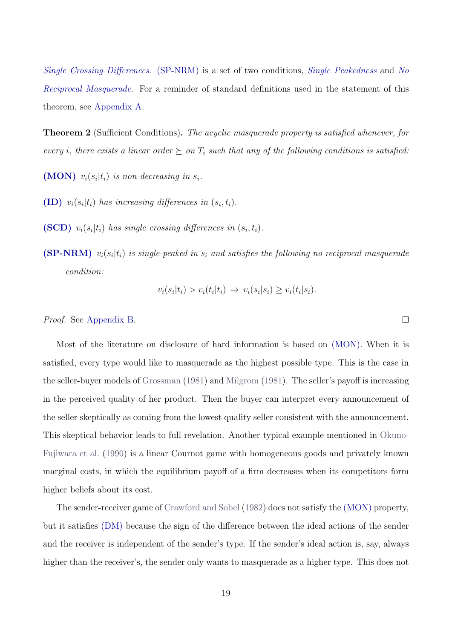Single Crossing Differences. (SP-NRM) is a set of two conditions, Single Peakedness and No Reciprocal Masquerade. For a reminder of standard definitions used in the statement of this theorem, see [Appendix A.](#page-32-0)

<span id="page-18-0"></span>**Theorem 2** (Sufficient Conditions). The acyclic masquerade property is satisfied whenever, for every *i*, there exists a linear order  $\succeq$  on  $T_i$  such that any of the following conditions is satisfied:

(MON)  $v_i(s_i|t_i)$  is non-decreasing in  $s_i$ .

- (ID)  $v_i(s_i|t_i)$  has increasing differences in  $(s_i, t_i)$ .
- (SCD)  $v_i(s_i|t_i)$  has single crossing differences in  $(s_i, t_i)$ .
- $(SP-NRM)$   $v_i(s_i|t_i)$  is single-peaked in  $s_i$  and satisfies the following no reciprocal masquerade condition:

$$
v_i(s_i|t_i) > v_i(t_i|t_i) \Rightarrow v_i(s_i|s_i) \ge v_i(t_i|s_i).
$$

Proof. See [Appendix B.](#page-33-0)

Most of the literature on disclosure of hard information is based on (MON). When it is satisfied, every type would like to masquerade as the highest possible type. This is the case in the seller-buyer models of [Grossman](#page-44-0) [\(1981\)](#page-44-0) and [Milgrom](#page-44-1) [\(1981\)](#page-44-1). The seller's payoff is increasing in the perceived quality of her product. Then the buyer can interpret every announcement of the seller skeptically as coming from the lowest quality seller consistent with the announcement. This skeptical behavior leads to full revelation. Another typical example mentioned in [Okuno-](#page-45-2)[Fujiwara et al.](#page-45-2) [\(1990\)](#page-45-2) is a linear Cournot game with homogeneous goods and privately known marginal costs, in which the equilibrium payoff of a firm decreases when its competitors form higher beliefs about its cost.

The sender-receiver game of [Crawford and Sobel](#page-44-16) [\(1982\)](#page-44-16) does not satisfy the (MON) property, but it satisfies (DM) because the sign of the difference between the ideal actions of the sender and the receiver is independent of the sender's type. If the sender's ideal action is, say, always higher than the receiver's, the sender only wants to masquerade as a higher type. This does not

 $\Box$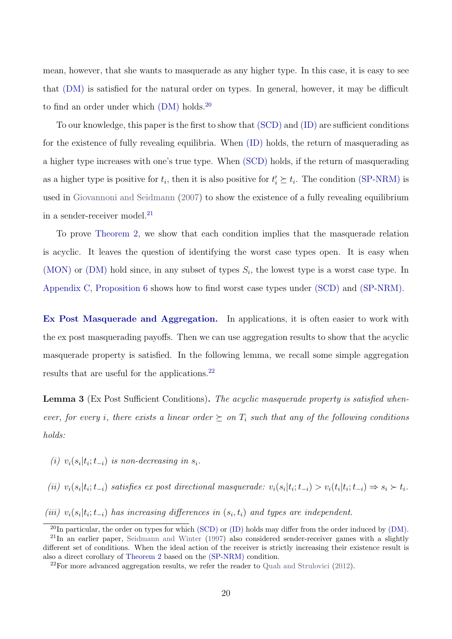mean, however, that she wants to masquerade as any higher type. In this case, it is easy to see that (DM) is satisfied for the natural order on types. In general, however, it may be difficult to find an order under which  $(DM)$  holds.<sup>[20](#page-19-0)</sup>

To our knowledge, this paper is the first to show that (SCD) and (ID) are sufficient conditions for the existence of fully revealing equilibria. When (ID) holds, the return of masquerading as a higher type increases with one's true type. When (SCD) holds, if the return of masquerading as a higher type is positive for  $t_i$ , then it is also positive for  $t'_i \succeq t_i$ . The condition (SP-NRM) is used in [Giovannoni and Seidmann](#page-44-6) [\(2007\)](#page-44-6) to show the existence of a fully revealing equilibrium in a sender-receiver model. $^{21}$  $^{21}$  $^{21}$ 

To prove [Theorem 2,](#page-18-0) we show that each condition implies that the masquerade relation is acyclic. It leaves the question of identifying the worst case types open. It is easy when (MON) or (DM) hold since, in any subset of types  $S_i$ , the lowest type is a worst case type. In [Appendix C,](#page-40-0) [Proposition 6](#page-40-1) shows how to find worst case types under (SCD) and (SP-NRM).

Ex Post Masquerade and Aggregation. In applications, it is often easier to work with the ex post masquerading payoffs. Then we can use aggregation results to show that the acyclic masquerade property is satisfied. In the following lemma, we recall some simple aggregation results that are useful for the applications.<sup>[22](#page-19-2)</sup>

<span id="page-19-3"></span>Lemma 3 (Ex Post Sufficient Conditions). The acyclic masquerade property is satisfied whenever, for every i, there exists a linear order  $\succeq$  on  $T_i$  such that any of the following conditions holds:

(i)  $v_i(s_i|t_i;t_{-i})$  is non-decreasing in  $s_i$ .

(ii)  $v_i(s_i|t_i;t_{-i})$  satisfies ex post directional masquerade:  $v_i(s_i|t_i;t_{-i}) > v_i(t_i|t_i;t_{-i}) \Rightarrow s_i > t_i$ .

(iii)  $v_i(s_i|t_i; t_{-i})$  has increasing differences in  $(s_i, t_i)$  and types are independent.

<span id="page-19-1"></span><span id="page-19-0"></span> $^{20}$ In particular, the order on types for which (SCD) or (ID) holds may differ from the order induced by (DM). <sup>21</sup>In an earlier paper, [Seidmann and Winter](#page-45-4) [\(1997\)](#page-45-4) also considered sender-receiver games with a slightly different set of conditions. When the ideal action of the receiver is strictly increasing their existence result is also a direct corollary of [Theorem 2](#page-18-0) based on the (SP-NRM) condition.

<span id="page-19-2"></span><sup>22</sup>For more advanced aggregation results, we refer the reader to [Quah and Strulovici](#page-45-7) [\(2012\)](#page-45-7).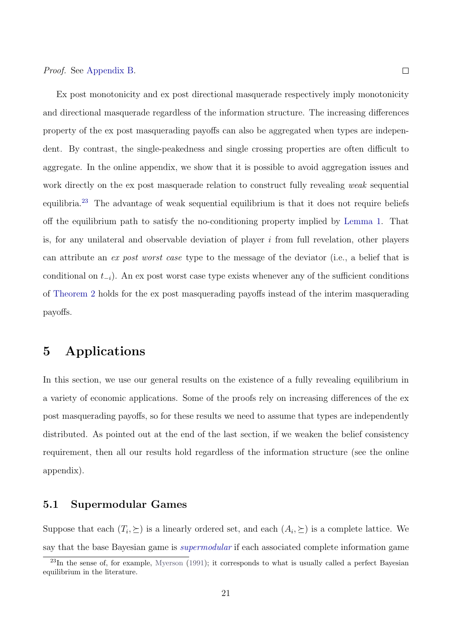#### Proof. See [Appendix B.](#page-33-0)

Ex post monotonicity and ex post directional masquerade respectively imply monotonicity and directional masquerade regardless of the information structure. The increasing differences property of the ex post masquerading payoffs can also be aggregated when types are independent. By contrast, the single-peakedness and single crossing properties are often difficult to aggregate. In the online appendix, we show that it is possible to avoid aggregation issues and work directly on the ex post masquerade relation to construct fully revealing weak sequential equilibria.[23](#page-20-1) The advantage of weak sequential equilibrium is that it does not require beliefs off the equilibrium path to satisfy the no-conditioning property implied by [Lemma 1.](#page-11-0) That is, for any unilateral and observable deviation of player  $i$  from full revelation, other players can attribute an ex post worst case type to the message of the deviator (i.e., a belief that is conditional on  $t_{-i}$ ). An ex post worst case type exists whenever any of the sufficient conditions of [Theorem 2](#page-18-0) holds for the ex post masquerading payoffs instead of the interim masquerading payoffs.

## <span id="page-20-0"></span>5 Applications

In this section, we use our general results on the existence of a fully revealing equilibrium in a variety of economic applications. Some of the proofs rely on increasing differences of the ex post masquerading payoffs, so for these results we need to assume that types are independently distributed. As pointed out at the end of the last section, if we weaken the belief consistency requirement, then all our results hold regardless of the information structure (see the online appendix).

#### 5.1 Supermodular Games

Suppose that each  $(T_i, \geq)$  is a linearly ordered set, and each  $(A_i, \geq)$  is a complete lattice. We say that the base Bayesian game is supermodular if each associated complete information game

<span id="page-20-1"></span><sup>&</sup>lt;sup>23</sup>In the sense of, for example, [Myerson](#page-45-6) [\(1991\)](#page-45-6); it corresponds to what is usually called a perfect Bayesian equilibrium in the literature.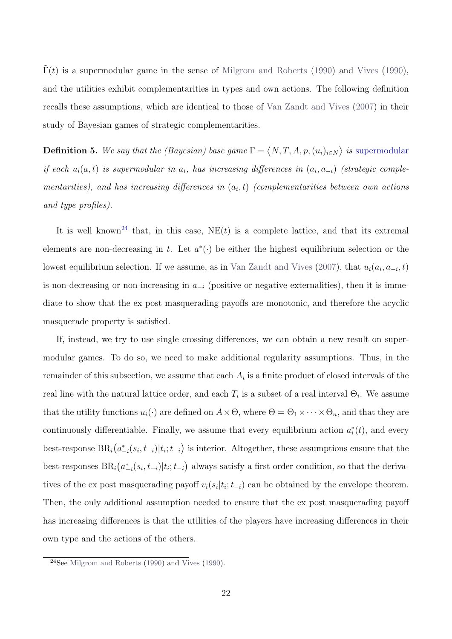$\Gamma(t)$  is a supermodular game in the sense of [Milgrom and Roberts](#page-45-8) [\(1990\)](#page-45-9) and [Vives](#page-45-9) (1990), and the utilities exhibit complementarities in types and own actions. The following definition recalls these assumptions, which are identical to those of [Van Zandt and Vives](#page-45-3) [\(2007\)](#page-45-3) in their study of Bayesian games of strategic complementarities.

**Definition 5.** We say that the (Bayesian) base game  $\Gamma = \langle N, T, A, p, (u_i)_{i \in N} \rangle$  is supermodular if each  $u_i(a,t)$  is supermodular in  $a_i$ , has increasing differences in  $(a_i, a_{-i})$  (strategic complementarities), and has increasing differences in  $(a_i, t)$  (complementarities between own actions and type profiles).

It is well known<sup>[24](#page-21-0)</sup> that, in this case,  $NE(t)$  is a complete lattice, and that its extremal elements are non-decreasing in t. Let  $a^*(\cdot)$  be either the highest equilibrium selection or the lowest equilibrium selection. If we assume, as in [Van Zandt and Vives](#page-45-3) [\(2007\)](#page-45-3), that  $u_i(a_i, a_{-i}, t)$ is non-decreasing or non-increasing in  $a_{-i}$  (positive or negative externalities), then it is immediate to show that the ex post masquerading payoffs are monotonic, and therefore the acyclic masquerade property is satisfied.

If, instead, we try to use single crossing differences, we can obtain a new result on supermodular games. To do so, we need to make additional regularity assumptions. Thus, in the remainder of this subsection, we assume that each  $A_i$  is a finite product of closed intervals of the real line with the natural lattice order, and each  $T_i$  is a subset of a real interval  $\Theta_i$ . We assume that the utility functions  $u_i(\cdot)$  are defined on  $A \times \Theta$ , where  $\Theta = \Theta_1 \times \cdots \times \Theta_n$ , and that they are continuously differentiable. Finally, we assume that every equilibrium action  $a_i^*(t)$ , and every best-response  $BR_i(a_{-i}^*(s_i, t_{-i})|t_i; t_{-i})$  is interior. Altogether, these assumptions ensure that the best-responses  $BR_i(a_{-i}^*(s_i, t_{-i})|t_i; t_{-i})$  always satisfy a first order condition, so that the derivatives of the ex post masquerading payoff  $v_i(s_i|t_i; t_{-i})$  can be obtained by the envelope theorem. Then, the only additional assumption needed to ensure that the ex post masquerading payoff has increasing differences is that the utilities of the players have increasing differences in their own type and the actions of the others.

<span id="page-21-0"></span> $24$ See [Milgrom and Roberts](#page-45-8) [\(1990\)](#page-45-9) and [Vives](#page-45-9) (1990).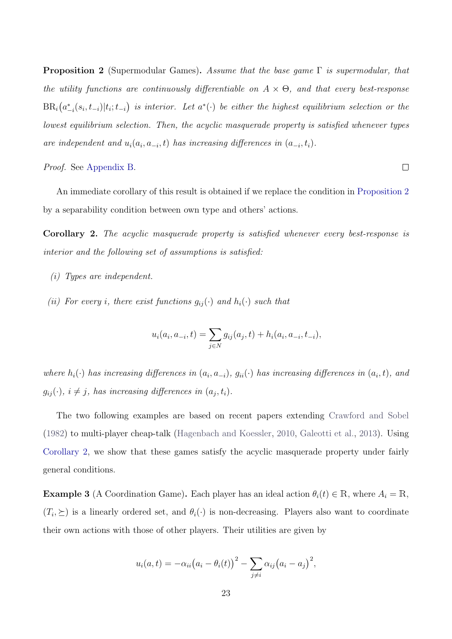<span id="page-22-0"></span>**Proposition 2** (Supermodular Games). Assume that the base game  $\Gamma$  is supermodular, that the utility functions are continuously differentiable on  $A \times \Theta$ , and that every best-response  $\text{BR}_i(a_{-i}^*(s_i, t_{-i})|t_i; t_{-i})$  is interior. Let  $a^*(\cdot)$  be either the highest equilibrium selection or the lowest equilibrium selection. Then, the acyclic masquerade property is satisfied whenever types are independent and  $u_i(a_i, a_{-i}, t)$  has increasing differences in  $(a_{-i}, t_i)$ .

#### Proof. See [Appendix B.](#page-33-0)

An immediate corollary of this result is obtained if we replace the condition in [Proposition 2](#page-22-0) by a separability condition between own type and others' actions.

 $\Box$ 

<span id="page-22-1"></span>Corollary 2. The acyclic masquerade property is satisfied whenever every best-response is interior and the following set of assumptions is satisfied:

- (i) Types are independent.
- (ii) For every i, there exist functions  $g_{ij}(\cdot)$  and  $h_i(\cdot)$  such that

$$
u_i(a_i, a_{-i}, t) = \sum_{j \in N} g_{ij}(a_j, t) + h_i(a_i, a_{-i}, t_{-i}),
$$

where  $h_i(\cdot)$  has increasing differences in  $(a_i, a_{-i})$ ,  $g_{ii}(\cdot)$  has increasing differences in  $(a_i, t)$ , and  $g_{ij}(\cdot), i \neq j$ , has increasing differences in  $(a_j, t_i)$ .

The two following examples are based on recent papers extending [Crawford and Sobel](#page-44-16) [\(1982\)](#page-44-16) to multi-player cheap-talk [\(Hagenbach and Koessler,](#page-44-17) [2010,](#page-44-17) [Galeotti et al.,](#page-44-18) [2013\)](#page-44-18). Using [Corollary 2,](#page-22-1) we show that these games satisfy the acyclic masquerade property under fairly general conditions.

<span id="page-22-2"></span>**Example 3** (A Coordination Game). Each player has an ideal action  $\theta_i(t) \in \mathbb{R}$ , where  $A_i = \mathbb{R}$ ,  $(T_i, \geq)$  is a linearly ordered set, and  $\theta_i(\cdot)$  is non-decreasing. Players also want to coordinate their own actions with those of other players. Their utilities are given by

$$
u_i(a,t) = -\alpha_{ii}(a_i - \theta_i(t))^2 - \sum_{j \neq i} \alpha_{ij}(a_i - a_j)^2,
$$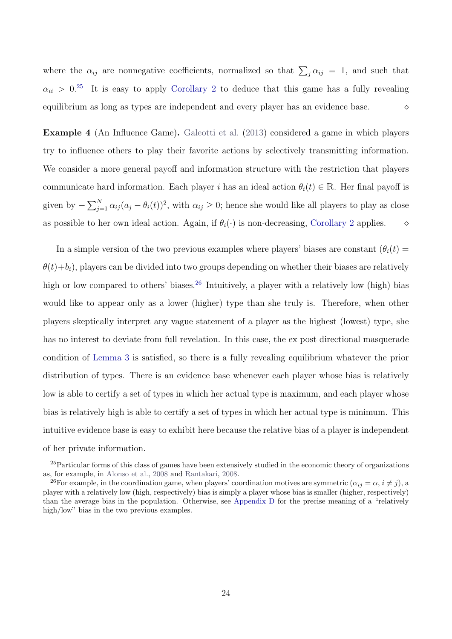where the  $\alpha_{ij}$  are nonnegative coefficients, normalized so that  $\sum_j \alpha_{ij} = 1$ , and such that  $\alpha_{ii} > 0^{25}$  $\alpha_{ii} > 0^{25}$  $\alpha_{ii} > 0^{25}$  It is easy to apply [Corollary 2](#page-22-1) to deduce that this game has a fully revealing equilibrium as long as types are independent and every player has an evidence base.

<span id="page-23-2"></span>Example 4 (An Influence Game). [Galeotti et al.](#page-44-18) [\(2013\)](#page-44-18) considered a game in which players try to influence others to play their favorite actions by selectively transmitting information. We consider a more general payoff and information structure with the restriction that players communicate hard information. Each player i has an ideal action  $\theta_i(t) \in \mathbb{R}$ . Her final payoff is given by  $-\sum_{j=1}^{N} \alpha_{ij} (a_j - \theta_i(t))^2$ , with  $\alpha_{ij} \ge 0$ ; hence she would like all players to play as close as possible to her own ideal action. Again, if  $\theta_i(\cdot)$  is non-decreasing, [Corollary 2](#page-22-1) applies.  $\diamond$ 

In a simple version of the two previous examples where players' biases are constant  $(\theta_i(t))$  $\theta(t)+b_i$ , players can be divided into two groups depending on whether their biases are relatively high or low compared to others' biases.<sup>[26](#page-23-1)</sup> Intuitively, a player with a relatively low (high) bias would like to appear only as a lower (higher) type than she truly is. Therefore, when other players skeptically interpret any vague statement of a player as the highest (lowest) type, she has no interest to deviate from full revelation. In this case, the ex post directional masquerade condition of [Lemma 3](#page-19-3) is satisfied, so there is a fully revealing equilibrium whatever the prior distribution of types. There is an evidence base whenever each player whose bias is relatively low is able to certify a set of types in which her actual type is maximum, and each player whose bias is relatively high is able to certify a set of types in which her actual type is minimum. This intuitive evidence base is easy to exhibit here because the relative bias of a player is independent of her private information.

<span id="page-23-0"></span><sup>&</sup>lt;sup>25</sup>Particular forms of this class of games have been extensively studied in the economic theory of organizations as, for example, in [Alonso et al.,](#page-43-5) [2008](#page-43-5) and [Rantakari,](#page-45-10) [2008.](#page-45-10)

<span id="page-23-1"></span><sup>&</sup>lt;sup>26</sup>For example, in the coordination game, when players' coordination motives are symmetric  $(\alpha_{ij} = \alpha, i \neq j)$ , a player with a relatively low (high, respectively) bias is simply a player whose bias is smaller (higher, respectively) than the average bias in the population. Otherwise, see [Appendix D](#page-41-0) for the precise meaning of a "relatively high/low" bias in the two previous examples.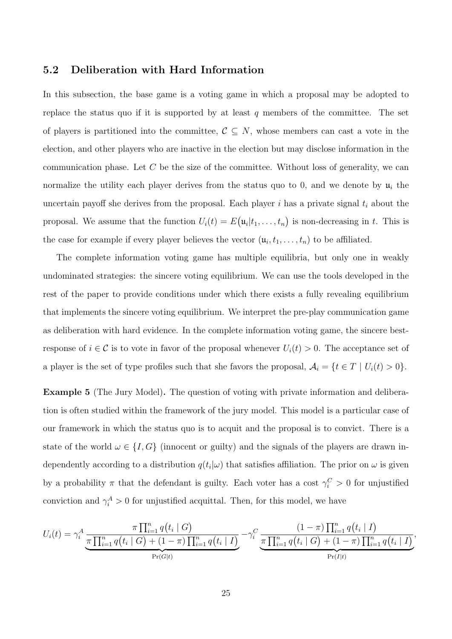#### 5.2 Deliberation with Hard Information

In this subsection, the base game is a voting game in which a proposal may be adopted to replace the status quo if it is supported by at least  $q$  members of the committee. The set of players is partitioned into the committee,  $C \subseteq N$ , whose members can cast a vote in the election, and other players who are inactive in the election but may disclose information in the communication phase. Let  $C$  be the size of the committee. Without loss of generality, we can normalize the utility each player derives from the status quo to 0, and we denote by  $\mathfrak{u}_i$  the uncertain payoff she derives from the proposal. Each player i has a private signal  $t_i$  about the proposal. We assume that the function  $U_i(t) = E(\mathfrak{u}_i|t_1,\ldots,t_n)$  is non-decreasing in t. This is the case for example if every player believes the vector  $(\mathfrak{u}_i, t_1, \ldots, t_n)$  to be affiliated.

The complete information voting game has multiple equilibria, but only one in weakly undominated strategies: the sincere voting equilibrium. We can use the tools developed in the rest of the paper to provide conditions under which there exists a fully revealing equilibrium that implements the sincere voting equilibrium. We interpret the pre-play communication game as deliberation with hard evidence. In the complete information voting game, the sincere bestresponse of  $i \in \mathcal{C}$  is to vote in favor of the proposal whenever  $U_i(t) > 0$ . The acceptance set of a player is the set of type profiles such that she favors the proposal,  $A_i = \{t \in T \mid U_i(t) > 0\}.$ 

Example 5 (The Jury Model). The question of voting with private information and deliberation is often studied within the framework of the jury model. This model is a particular case of our framework in which the status quo is to acquit and the proposal is to convict. There is a state of the world  $\omega \in \{I, G\}$  (innocent or guilty) and the signals of the players are drawn independently according to a distribution  $q(t_i|\omega)$  that satisfies affiliation. The prior on  $\omega$  is given by a probability  $\pi$  that the defendant is guilty. Each voter has a cost  $\gamma_i^C > 0$  for unjustified conviction and  $\gamma_i^A > 0$  for unjustified acquittal. Then, for this model, we have

$$
U_i(t) = \gamma_i^A \frac{\pi \prod_{i=1}^n q(t_i \mid G)}{\pi \prod_{i=1}^n q(t_i \mid G) + (1 - \pi) \prod_{i=1}^n q(t_i \mid I)} - \gamma_i^C \frac{(1 - \pi) \prod_{i=1}^n q(t_i \mid I)}{\pi \prod_{i=1}^n q(t_i \mid G) + (1 - \pi) \prod_{i=1}^n q(t_i \mid I)}
$$

,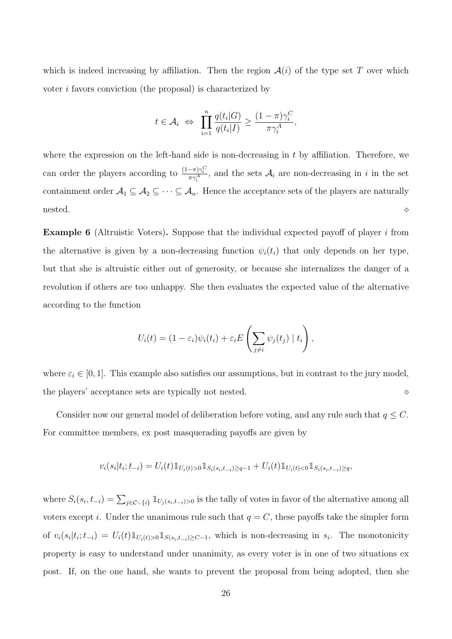which is indeed increasing by affiliation. Then the region  $\mathcal{A}(i)$  of the type set T over which voter i favors conviction (the proposal) is characterized by

$$
t \in A_i \Leftrightarrow \prod_{i=1}^n \frac{q(t_i|G)}{q(t_i|I)} \ge \frac{(1-\pi)\gamma_i^C}{\pi\gamma_i^A},
$$

where the expression on the left-hand side is non-decreasing in  $t$  by affiliation. Therefore, we can order the players according to  $\frac{(1-\pi)\gamma_i^C}{\pi\gamma_i^A}$ , and the sets  $\mathcal{A}_i$  are non-decreasing in i in the set containment order  $A_1 \subseteq A_2 \subseteq \cdots \subseteq A_n$ . Hence the acceptance sets of the players are naturally  $\blacksquare$ nested. $\diamond$ 

Example 6 (Altruistic Voters). Suppose that the individual expected payoff of player i from the alternative is given by a non-decreasing function  $\psi_i(t_i)$  that only depends on her type, but that she is altruistic either out of generosity, or because she internalizes the danger of a revolution if others are too unhappy. She then evaluates the expected value of the alternative according to the function

$$
U_i(t) = (1 - \varepsilon_i)\psi_i(t_i) + \varepsilon_i E\left(\sum_{j \neq i} \psi_j(t_j) \mid t_i\right),
$$

where  $\varepsilon_i \in [0, 1]$ . This example also satisfies our assumptions, but in contrast to the jury model, the players' acceptance sets are typically not nested.

Consider now our general model of deliberation before voting, and any rule such that  $q \leq C$ . For committee members, ex post masquerading payoffs are given by

$$
v_i(s_i|t_i; t_{-i}) = U_i(t) \mathbb{1}_{U_i(t) > 0} \mathbb{1}_{S_i(s_i, t_{-i}) \ge q-1} + U_i(t) \mathbb{1}_{U_i(t) < 0} \mathbb{1}_{S_i(s_i, t_{-i}) \ge q},
$$

where  $S_i(s_i, t_{-i}) = \sum_{j \in \mathcal{C} \setminus \{i\}} 1\!\!1_{U_j(s_i, t_{-i})>0}$  is the tally of votes in favor of the alternative among all voters except i. Under the unanimous rule such that  $q = C$ , these payoffs take the simpler form of  $v_i(s_i|t_i;t_{-i}) = U_i(t) \mathbb{1}_{U_i(t)>0} \mathbb{1}_{S(s_i,t_{-i})\geq C-1}$ , which is non-decreasing in  $s_i$ . The monotonicity property is easy to understand under unanimity, as every voter is in one of two situations ex post. If, on the one hand, she wants to prevent the proposal from being adopted, then she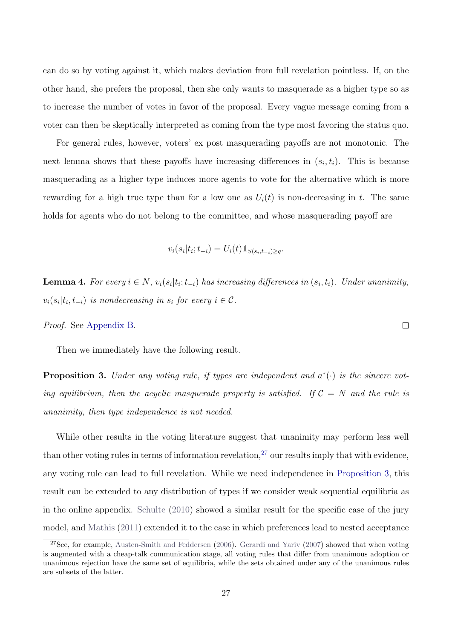can do so by voting against it, which makes deviation from full revelation pointless. If, on the other hand, she prefers the proposal, then she only wants to masquerade as a higher type so as to increase the number of votes in favor of the proposal. Every vague message coming from a voter can then be skeptically interpreted as coming from the type most favoring the status quo.

For general rules, however, voters' ex post masquerading payoffs are not monotonic. The next lemma shows that these payoffs have increasing differences in  $(s_i, t_i)$ . This is because masquerading as a higher type induces more agents to vote for the alternative which is more rewarding for a high true type than for a low one as  $U_i(t)$  is non-decreasing in t. The same holds for agents who do not belong to the committee, and whose masquerading payoff are

$$
v_i(s_i|t_i; t_{-i}) = U_i(t) \mathbb{1}_{S(s_i, t_{-i}) \ge q}.
$$

<span id="page-26-2"></span>**Lemma 4.** For every  $i \in N$ ,  $v_i(s_i|t_i;t_{-i})$  has increasing differences in  $(s_i,t_i)$ . Under unanimity,  $v_i(s_i|t_i, t_{-i})$  is nondecreasing in  $s_i$  for every  $i \in \mathcal{C}$ .

 $\Box$ 

Proof. See [Appendix B.](#page-33-0)

Then we immediately have the following result.

<span id="page-26-1"></span>**Proposition 3.** Under any voting rule, if types are independent and  $a^*(\cdot)$  is the sincere voting equilibrium, then the acyclic masquerade property is satisfied. If  $C = N$  and the rule is unanimity, then type independence is not needed.

While other results in the voting literature suggest that unanimity may perform less well than other voting rules in terms of information revelation,<sup>[27](#page-26-0)</sup> our results imply that with evidence, any voting rule can lead to full revelation. While we need independence in [Proposition 3,](#page-26-1) this result can be extended to any distribution of types if we consider weak sequential equilibria as in the online appendix. [Schulte](#page-45-11) [\(2010\)](#page-45-11) showed a similar result for the specific case of the jury model, and [Mathis](#page-44-11) [\(2011\)](#page-44-11) extended it to the case in which preferences lead to nested acceptance

<span id="page-26-0"></span><sup>&</sup>lt;sup>27</sup>See, for example, [Austen-Smith and Feddersen](#page-43-3) [\(2006\)](#page-43-3). [Gerardi and Yariv](#page-44-8) [\(2007\)](#page-44-8) showed that when voting is augmented with a cheap-talk communication stage, all voting rules that differ from unanimous adoption or unanimous rejection have the same set of equilibria, while the sets obtained under any of the unanimous rules are subsets of the latter.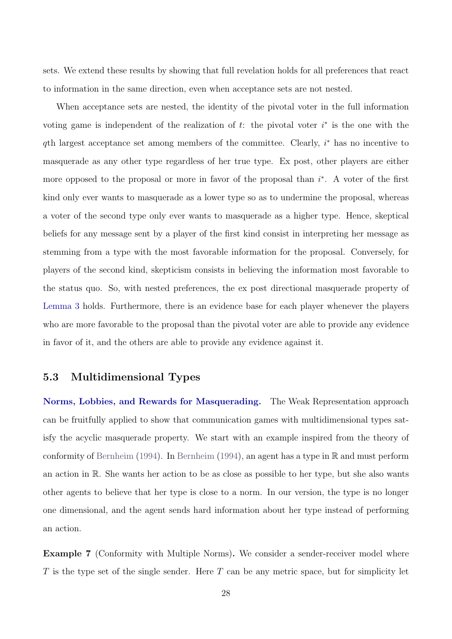sets. We extend these results by showing that full revelation holds for all preferences that react to information in the same direction, even when acceptance sets are not nested.

When acceptance sets are nested, the identity of the pivotal voter in the full information voting game is independent of the realization of t: the pivotal voter  $i^*$  is the one with the qth largest acceptance set among members of the committee. Clearly, i<sup>\*</sup> has no incentive to masquerade as any other type regardless of her true type. Ex post, other players are either more opposed to the proposal or more in favor of the proposal than  $i^*$ . A voter of the first kind only ever wants to masquerade as a lower type so as to undermine the proposal, whereas a voter of the second type only ever wants to masquerade as a higher type. Hence, skeptical beliefs for any message sent by a player of the first kind consist in interpreting her message as stemming from a type with the most favorable information for the proposal. Conversely, for players of the second kind, skepticism consists in believing the information most favorable to the status quo. So, with nested preferences, the ex post directional masquerade property of [Lemma 3](#page-19-3) holds. Furthermore, there is an evidence base for each player whenever the players who are more favorable to the proposal than the pivotal voter are able to provide any evidence in favor of it, and the others are able to provide any evidence against it.

### 5.3 Multidimensional Types

Norms, Lobbies, and Rewards for Masquerading. The Weak Representation approach can be fruitfully applied to show that communication games with multidimensional types satisfy the acyclic masquerade property. We start with an example inspired from the theory of conformity of [Bernheim](#page-43-6) [\(1994\)](#page-43-6). In [Bernheim](#page-43-6) [\(1994\)](#page-43-6), an agent has a type in R and must perform an action in R. She wants her action to be as close as possible to her type, but she also wants other agents to believe that her type is close to a norm. In our version, the type is no longer one dimensional, and the agent sends hard information about her type instead of performing an action.

Example 7 (Conformity with Multiple Norms). We consider a sender-receiver model where T is the type set of the single sender. Here  $T$  can be any metric space, but for simplicity let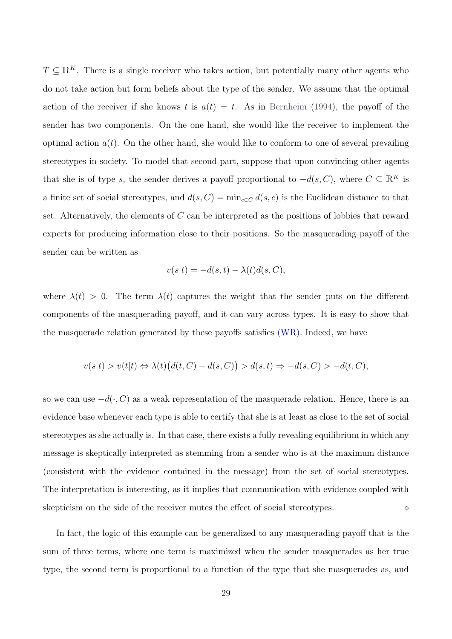$T \subseteq \mathbb{R}^K$ . There is a single receiver who takes action, but potentially many other agents who do not take action but form beliefs about the type of the sender. We assume that the optimal action of the receiver if she knows t is  $a(t) = t$ . As in [Bernheim](#page-43-6) [\(1994\)](#page-43-6), the payoff of the sender has two components. On the one hand, she would like the receiver to implement the optimal action  $a(t)$ . On the other hand, she would like to conform to one of several prevailing stereotypes in society. To model that second part, suppose that upon convincing other agents that she is of type s, the sender derives a payoff proportional to  $-d(s, C)$ , where  $C \subseteq \mathbb{R}^K$  is a finite set of social stereotypes, and  $d(s, C) = \min_{c \in C} d(s, c)$  is the Euclidean distance to that set. Alternatively, the elements of C can be interpreted as the positions of lobbies that reward experts for producing information close to their positions. So the masquerading payoff of the sender can be written as

$$
v(s|t) = -d(s,t) - \lambda(t)d(s,C),
$$

where  $\lambda(t) > 0$ . The term  $\lambda(t)$  captures the weight that the sender puts on the different components of the masquerading payoff, and it can vary across types. It is easy to show that the masquerade relation generated by these payoffs satisfies (WR). Indeed, we have

$$
v(s|t) > v(t|t) \Leftrightarrow \lambda(t) \big( d(t, C) - d(s, C) \big) > d(s, t) \Rightarrow -d(s, C) > -d(t, C),
$$

so we can use  $-d(\cdot, C)$  as a weak representation of the masquerade relation. Hence, there is an evidence base whenever each type is able to certify that she is at least as close to the set of social stereotypes as she actually is. In that case, there exists a fully revealing equilibrium in which any message is skeptically interpreted as stemming from a sender who is at the maximum distance (consistent with the evidence contained in the message) from the set of social stereotypes. The interpretation is interesting, as it implies that communication with evidence coupled with skepticism on the side of the receiver mutes the effect of social stereotypes.  $\diamond$ 

In fact, the logic of this example can be generalized to any masquerading payoff that is the sum of three terms, where one term is maximized when the sender masquerades as her true type, the second term is proportional to a function of the type that she masquerades as, and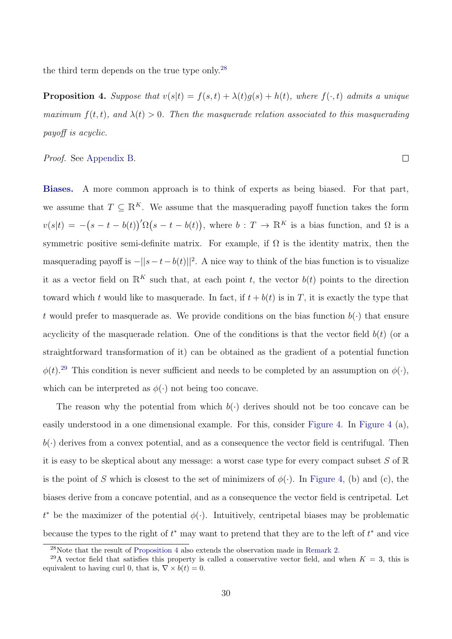the third term depends on the true type only.<sup>[28](#page-29-0)</sup>

<span id="page-29-2"></span>**Proposition 4.** Suppose that  $v(s|t) = f(s,t) + \lambda(t)g(s) + h(t)$ , where  $f(\cdot, t)$  admits a unique maximum  $f(t, t)$ , and  $\lambda(t) > 0$ . Then the masquerade relation associated to this masquerading payoff is acyclic.

 $\Box$ 

Proof. See [Appendix B.](#page-33-0)

Biases. A more common approach is to think of experts as being biased. For that part, we assume that  $T \subseteq \mathbb{R}^K$ . We assume that the masquerading payoff function takes the form  $v(s|t) = -(s-t-b(t))' \Omega(s-t-b(t)),$  where  $b: T \to \mathbb{R}^K$  is a bias function, and  $\Omega$  is a symmetric positive semi-definite matrix. For example, if  $\Omega$  is the identity matrix, then the masquerading payoff is  $-||s-t-b(t)||^2$ . A nice way to think of the bias function is to visualize it as a vector field on  $\mathbb{R}^K$  such that, at each point t, the vector  $b(t)$  points to the direction toward which t would like to masquerade. In fact, if  $t + b(t)$  is in T, it is exactly the type that t would prefer to masquerade as. We provide conditions on the bias function  $b(\cdot)$  that ensure acyclicity of the masquerade relation. One of the conditions is that the vector field  $b(t)$  (or a straightforward transformation of it) can be obtained as the gradient of a potential function  $\phi(t)$ <sup>[29](#page-29-1)</sup> This condition is never sufficient and needs to be completed by an assumption on  $\phi(\cdot)$ , which can be interpreted as  $\phi(\cdot)$  not being too concave.

The reason why the potential from which  $b(\cdot)$  derives should not be too concave can be easily understood in a one dimensional example. For this, consider [Figure 4.](#page-31-0) In [Figure 4](#page-31-0) (a),  $b(\cdot)$  derives from a convex potential, and as a consequence the vector field is centrifugal. Then it is easy to be skeptical about any message: a worst case type for every compact subset  $S$  of  $\mathbb R$ is the point of S which is closest to the set of minimizers of  $\phi(\cdot)$ . In [Figure 4,](#page-31-0) (b) and (c), the biases derive from a concave potential, and as a consequence the vector field is centripetal. Let  $t^*$  be the maximizer of the potential  $\phi(\cdot)$ . Intuitively, centripetal biases may be problematic because the types to the right of  $t^*$  may want to pretend that they are to the left of  $t^*$  and vice

<span id="page-29-1"></span><span id="page-29-0"></span><sup>28</sup>Note that the result of [Proposition 4](#page-29-2) also extends the observation made in [Remark 2.](#page-17-1)

<sup>&</sup>lt;sup>29</sup>A vector field that satisfies this property is called a conservative vector field, and when  $K = 3$ , this is equivalent to having curl 0, that is,  $\nabla \times b(t) = 0$ .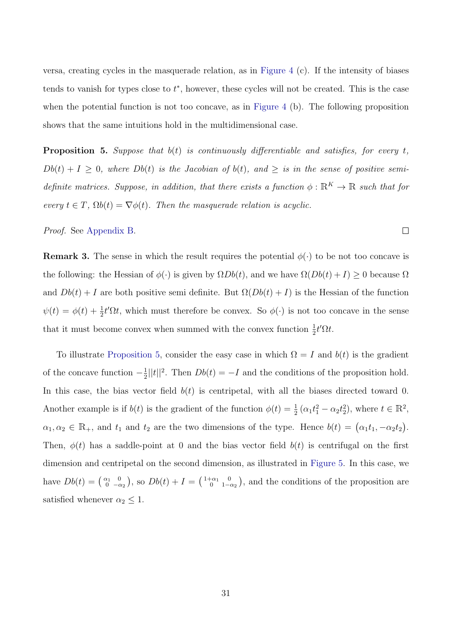versa, creating cycles in the masquerade relation, as in [Figure 4](#page-31-0) (c). If the intensity of biases tends to vanish for types close to  $t^*$ , however, these cycles will not be created. This is the case when the potential function is not too concave, as in [Figure 4](#page-31-0) (b). The following proposition shows that the same intuitions hold in the multidimensional case.

<span id="page-30-0"></span>**Proposition 5.** Suppose that  $b(t)$  is continuously differentiable and satisfies, for every t,  $Db(t) + I \geq 0$ , where  $Db(t)$  is the Jacobian of  $b(t)$ , and  $\geq$  is in the sense of positive semidefinite matrices. Suppose, in addition, that there exists a function  $\phi : \mathbb{R}^K \to \mathbb{R}$  such that for every  $t \in T$ ,  $\Omega b(t) = \nabla \phi(t)$ . Then the masquerade relation is acyclic.

 $\Box$ 

Proof. See [Appendix B.](#page-33-0)

**Remark 3.** The sense in which the result requires the potential  $\phi(\cdot)$  to be not too concave is the following: the Hessian of  $\phi(\cdot)$  is given by  $\Omega Db(t)$ , and we have  $\Omega(Db(t) + I) \ge 0$  because  $\Omega$ and  $Db(t) + I$  are both positive semi definite. But  $\Omega(Db(t) + I)$  is the Hessian of the function  $\psi(t) = \phi(t) + \frac{1}{2}t'\Omega t$ , which must therefore be convex. So  $\phi(\cdot)$  is not too concave in the sense that it must become convex when summed with the convex function  $\frac{1}{2}t'\Omega t$ .

To illustrate [Proposition 5,](#page-30-0) consider the easy case in which  $\Omega = I$  and  $b(t)$  is the gradient of the concave function  $-\frac{1}{2}$  $\frac{1}{2}||t||^2$ . Then  $Db(t) = -I$  and the conditions of the proposition hold. In this case, the bias vector field  $b(t)$  is centripetal, with all the biases directed toward 0. Another example is if  $b(t)$  is the gradient of the function  $\phi(t) = \frac{1}{2} (\alpha_1 t_1^2 - \alpha_2 t_2^2)$ , where  $t \in \mathbb{R}^2$ ,  $\alpha_1, \alpha_2 \in \mathbb{R}_+$ , and  $t_1$  and  $t_2$  are the two dimensions of the type. Hence  $b(t) = (\alpha_1 t_1, -\alpha_2 t_2)$ . Then,  $\phi(t)$  has a saddle-point at 0 and the bias vector field  $b(t)$  is centrifugal on the first dimension and centripetal on the second dimension, as illustrated in [Figure 5.](#page-32-1) In this case, we have  $Db(t) = \begin{pmatrix} \alpha_1 & 0 \\ 0 & -\alpha_2 \end{pmatrix}$ , so  $Db(t) + I = \begin{pmatrix} 1+\alpha_1 & 0 \\ 0 & 1-\alpha_2 \end{pmatrix}$ , and the conditions of the proposition are satisfied whenever  $\alpha_2 \leq 1$ .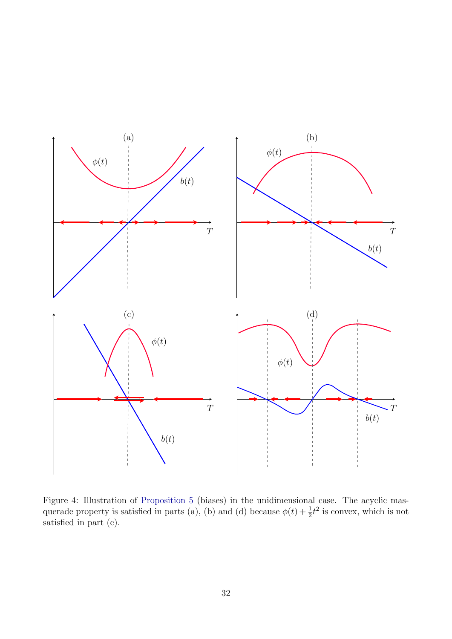

<span id="page-31-0"></span>Figure 4: Illustration of [Proposition 5](#page-30-0) (biases) in the unidimensional case. The acyclic masquerade property is satisfied in parts (a), (b) and (d) because  $\phi(t) + \frac{1}{2}t^2$  is convex, which is not satisfied in part (c).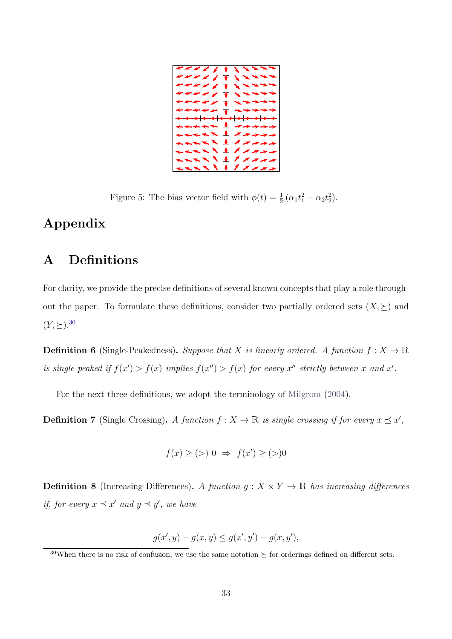

Figure 5: The bias vector field with  $\phi(t) = \frac{1}{2} (\alpha_1 t_1^2 - \alpha_2 t_2^2)$ .

## <span id="page-32-1"></span>Appendix

# <span id="page-32-0"></span>A Definitions

For clarity, we provide the precise definitions of several known concepts that play a role throughout the paper. To formulate these definitions, consider two partially ordered sets  $(X, \succeq)$  and  $(Y, \succeq).^{30}$  $(Y, \succeq).^{30}$  $(Y, \succeq).^{30}$ 

**Definition 6** (Single-Peakedness). Suppose that X is linearly ordered. A function  $f: X \to \mathbb{R}$ is single-peaked if  $f(x') > f(x)$  implies  $f(x'') > f(x)$  for every x'' strictly between x and x'.

For the next three definitions, we adopt the terminology of [Milgrom](#page-44-7) [\(2004\)](#page-44-7).

**Definition 7** (Single Crossing). A function  $f: X \to \mathbb{R}$  is single crossing if for every  $x \preceq x'$ ,

$$
f(x) \ge (>) 0 \Rightarrow f(x') \ge (>)0
$$

**Definition 8** (Increasing Differences). A function  $g: X \times Y \to \mathbb{R}$  has increasing differences if, for every  $x \preceq x'$  and  $y \preceq y'$ , we have

$$
g(x', y) - g(x, y) \le g(x', y') - g(x, y'),
$$

<span id="page-32-2"></span><sup>&</sup>lt;sup>30</sup>When there is no risk of confusion, we use the same notation  $\succeq$  for orderings defined on different sets.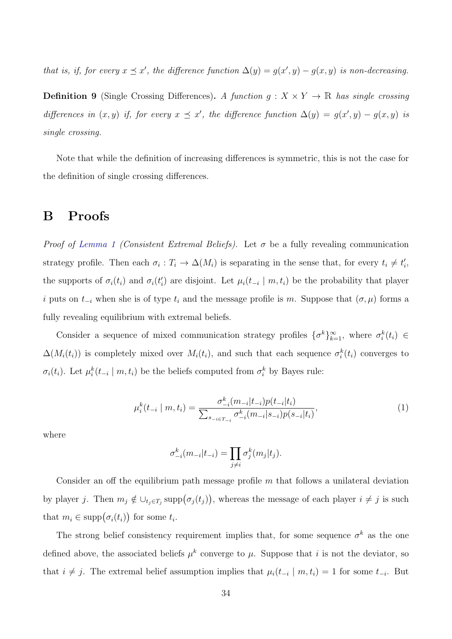that is, if, for every  $x \leq x'$ , the difference function  $\Delta(y) = g(x', y) - g(x, y)$  is non-decreasing.

**Definition 9** (Single Crossing Differences). A function  $g: X \times Y \to \mathbb{R}$  has single crossing differences in  $(x, y)$  if, for every  $x \preceq x'$ , the difference function  $\Delta(y) = g(x', y) - g(x, y)$  is single crossing.

Note that while the definition of increasing differences is symmetric, this is not the case for the definition of single crossing differences.

### <span id="page-33-0"></span>B Proofs

*Proof of [Lemma 1](#page-11-0) (Consistent Extremal Beliefs)*. Let  $\sigma$  be a fully revealing communication strategy profile. Then each  $\sigma_i : T_i \to \Delta(M_i)$  is separating in the sense that, for every  $t_i \neq t'_i$ , the supports of  $\sigma_i(t_i)$  and  $\sigma_i(t'_i)$  are disjoint. Let  $\mu_i(t_{-i} | m, t_i)$  be the probability that player i puts on  $t_{-i}$  when she is of type  $t_i$  and the message profile is m. Suppose that  $(\sigma, \mu)$  forms a fully revealing equilibrium with extremal beliefs.

Consider a sequence of mixed communication strategy profiles  $\{\sigma^k\}_{k=1}^{\infty}$ , where  $\sigma^k_i(t_i) \in$  $\Delta(M_i(t_i))$  is completely mixed over  $M_i(t_i)$ , and such that each sequence  $\sigma_i^k(t_i)$  converges to  $\sigma_i(t_i)$ . Let  $\mu_i^k(t_{-i} \mid m, t_i)$  be the beliefs computed from  $\sigma_i^k$  by Bayes rule:

<span id="page-33-1"></span>
$$
\mu_i^k(t_{-i} \mid m, t_i) = \frac{\sigma_{-i}^k(m_{-i}|t_{-i})p(t_{-i}|t_i)}{\sum_{s_{-i} \in T_{-i}} \sigma_{-i}^k(m_{-i}|s_{-i})p(s_{-i}|t_i)},\tag{1}
$$

where

$$
\sigma_{-i}^k(m_{-i}|t_{-i}) = \prod_{j \neq i} \sigma_j^k(m_j|t_j).
$$

Consider an off the equilibrium path message profile  $m$  that follows a unilateral deviation by player j. Then  $m_j \notin \bigcup_{t_j \in T_j} \text{supp}(\sigma_j(t_j))$ , whereas the message of each player  $i \neq j$  is such that  $m_i \in \text{supp}(\sigma_i(t_i))$  for some  $t_i$ .

The strong belief consistency requirement implies that, for some sequence  $\sigma^k$  as the one defined above, the associated beliefs  $\mu^k$  converge to  $\mu$ . Suppose that i is not the deviator, so that  $i \neq j$ . The extremal belief assumption implies that  $\mu_i(t_{-i} \mid m, t_i) = 1$  for some  $t_{-i}$ . But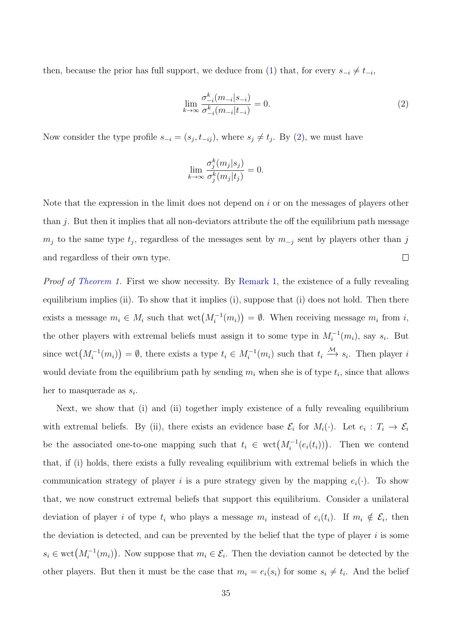then, because the prior has full support, we deduce from [\(1\)](#page-33-1) that, for every  $s_{-i} \neq t_{-i}$ ,

<span id="page-34-0"></span>
$$
\lim_{k \to \infty} \frac{\sigma_{-i}^k (m_{-i}|s_{-i})}{\sigma_{-i}^k (m_{-i}|t_{-i})} = 0.
$$
\n(2)

Now consider the type profile  $s_{-i} = (s_j, t_{-ij})$ , where  $s_j \neq t_j$ . By [\(2\)](#page-34-0), we must have

$$
\lim_{k \to \infty} \frac{\sigma_j^k(m_j|s_j)}{\sigma_j^k(m_j|t_j)} = 0.
$$

Note that the expression in the limit does not depend on  $i$  or on the messages of players other than  $i$ . But then it implies that all non-deviators attribute the off the equilibrium path message  $m_j$  to the same type  $t_j$ , regardless of the messages sent by  $m_{-j}$  sent by players other than j and regardless of their own type.  $\Box$ 

Proof of [Theorem 1.](#page-12-1) First we show necessity. By [Remark 1,](#page-9-2) the existence of a fully revealing equilibrium implies (ii). To show that it implies (i), suppose that (i) does not hold. Then there exists a message  $m_i \in M_i$  such that  $\text{wct}(M_i^{-1}(m_i)) = \emptyset$ . When receiving message  $m_i$  from i, the other players with extremal beliefs must assign it to some type in  $M_i^{-1}(m_i)$ , say  $s_i$ . But since  $\text{wct}(M_i^{-1}(m_i)) = \emptyset$ , there exists a type  $t_i \in M_i^{-1}(m_i)$  such that  $t_i \stackrel{\mathcal{M}}{\longrightarrow} s_i$ . Then player i would deviate from the equilibrium path by sending  $m_i$  when she is of type  $t_i$ , since that allows her to masquerade as  $s_i$ .

Next, we show that (i) and (ii) together imply existence of a fully revealing equilibrium with extremal beliefs. By (ii), there exists an evidence base  $\mathcal{E}_i$  for  $M_i(\cdot)$ . Let  $e_i: T_i \to \mathcal{E}_i$ be the associated one-to-one mapping such that  $t_i \in \text{wct}(M_i^{-1}(e_i(t_i)))$ . Then we contend that, if (i) holds, there exists a fully revealing equilibrium with extremal beliefs in which the communication strategy of player i is a pure strategy given by the mapping  $e_i(\cdot)$ . To show that, we now construct extremal beliefs that support this equilibrium. Consider a unilateral deviation of player *i* of type  $t_i$  who plays a message  $m_i$  instead of  $e_i(t_i)$ . If  $m_i \notin \mathcal{E}_i$ , then the deviation is detected, and can be prevented by the belief that the type of player  $i$  is some  $s_i \in \text{wct}(M_i^{-1}(m_i))$ . Now suppose that  $m_i \in \mathcal{E}_i$ . Then the deviation cannot be detected by the other players. But then it must be the case that  $m_i = e_i(s_i)$  for some  $s_i \neq t_i$ . And the belief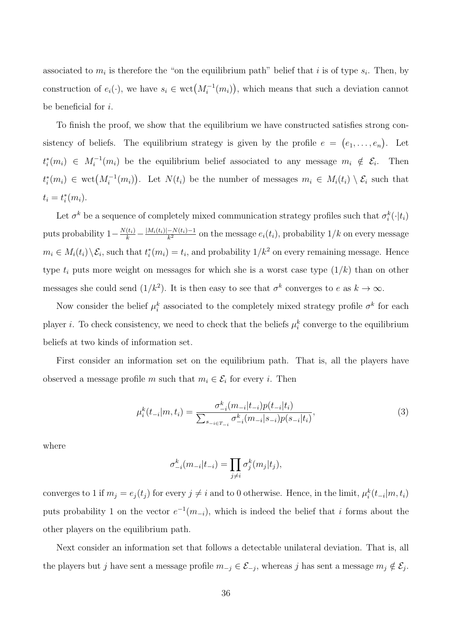associated to  $m_i$  is therefore the "on the equilibrium path" belief that i is of type  $s_i$ . Then, by construction of  $e_i(\cdot)$ , we have  $s_i \in \text{wct}(M_i^{-1}(m_i))$ , which means that such a deviation cannot be beneficial for i.

To finish the proof, we show that the equilibrium we have constructed satisfies strong consistency of beliefs. The equilibrium strategy is given by the profile  $e = (e_1, \ldots, e_n)$ . Let  $t_i^*(m_i) \in M_i^{-1}(m_i)$  be the equilibrium belief associated to any message  $m_i \notin \mathcal{E}_i$ . Then  $t_i^*(m_i) \in \text{wct}(M_i^{-1}(m_i))$ . Let  $N(t_i)$  be the number of messages  $m_i \in M_i(t_i) \setminus \mathcal{E}_i$  such that  $t_i = t_i^*(m_i).$ 

Let  $\sigma^k$  be a sequence of completely mixed communication strategy profiles such that  $\sigma^k_i(\cdot|t_i)$ puts probability  $1-\frac{N(t_i)}{k}-\frac{|M_i(t_i)|-N(t_i)-1}{k^2}$  $\frac{-N(t_i)-1}{k^2}$  on the message  $e_i(t_i)$ , probability  $1/k$  on every message  $m_i \in M_i(t_i) \setminus \mathcal{E}_i$ , such that  $t_i^*(m_i) = t_i$ , and probability  $1/k^2$  on every remaining message. Hence type  $t_i$  puts more weight on messages for which she is a worst case type  $(1/k)$  than on other messages she could send  $(1/k^2)$ . It is then easy to see that  $\sigma^k$  converges to e as  $k \to \infty$ .

Now consider the belief  $\mu_i^k$  associated to the completely mixed strategy profile  $\sigma^k$  for each player *i*. To check consistency, we need to check that the beliefs  $\mu_i^k$  converge to the equilibrium beliefs at two kinds of information set.

First consider an information set on the equilibrium path. That is, all the players have observed a message profile m such that  $m_i \in \mathcal{E}_i$  for every i. Then

<span id="page-35-0"></span>
$$
\mu_i^k(t_{-i}|m, t_i) = \frac{\sigma_{-i}^k(m_{-i}|t_{-i})p(t_{-i}|t_i)}{\sum_{s_{-i} \in T_{-i}} \sigma_{-i}^k(m_{-i}|s_{-i})p(s_{-i}|t_i)},\tag{3}
$$

where

$$
\sigma_{-i}^k(m_{-i}|t_{-i}) = \prod_{j \neq i} \sigma_j^k(m_j|t_j),
$$

converges to 1 if  $m_j = e_j(t_j)$  for every  $j \neq i$  and to 0 otherwise. Hence, in the limit,  $\mu_i^k(t_{-i}|m, t_i)$ puts probability 1 on the vector  $e^{-1}(m_{-i})$ , which is indeed the belief that i forms about the other players on the equilibrium path.

Next consider an information set that follows a detectable unilateral deviation. That is, all the players but j have sent a message profile  $m_{-j} \in \mathcal{E}_{-j}$ , whereas j has sent a message  $m_j \notin \mathcal{E}_j$ .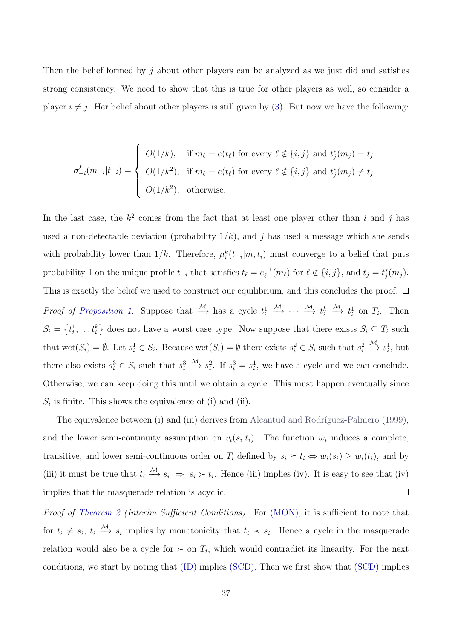Then the belief formed by  $j$  about other players can be analyzed as we just did and satisfies strong consistency. We need to show that this is true for other players as well, so consider a player  $i \neq j$ . Her belief about other players is still given by [\(3\)](#page-35-0). But now we have the following:

$$
\sigma_{-i}^k(m_{-i}|t_{-i}) = \begin{cases}\nO(1/k), & \text{if } m_\ell = e(t_\ell) \text{ for every } \ell \notin \{i, j\} \text{ and } t_j^*(m_j) = t_j \\
O(1/k^2), & \text{if } m_\ell = e(t_\ell) \text{ for every } \ell \notin \{i, j\} \text{ and } t_j^*(m_j) \neq t_j \\
O(1/k^2), & \text{otherwise.} \n\end{cases}
$$

In the last case, the  $k^2$  comes from the fact that at least one player other than i and j has used a non-detectable deviation (probability  $1/k$ ), and j has used a message which she sends with probability lower than  $1/k$ . Therefore,  $\mu_i^k(t_{-i}|m, t_i)$  must converge to a belief that puts probability 1 on the unique profile  $t_{-i}$  that satisfies  $t_{\ell} = e_{\ell}^{-1}$  $\ell_{\ell}^{-1}(m_{\ell})$  for  $\ell \notin \{i, j\}$ , and  $t_j = t_j^*(m_j)$ . This is exactly the belief we used to construct our equilibrium, and this concludes the proof.  $\Box$ *Proof of [Proposition 1.](#page-16-1)* Suppose that  $\stackrel{\mathcal{M}}{\longrightarrow}$  has a cycle  $t_i^1$  $\stackrel{\mathcal{M}}{\longrightarrow} \cdots \stackrel{\mathcal{M}}{\longrightarrow} t_i^k$  $\xrightarrow{\mathcal{M}} t_i^1$  on  $T_i$ . Then  $S_i = \{t_i^1, \ldots t_i^k\}$  does not have a worst case type. Now suppose that there exists  $S_i \subseteq T_i$  such that  $\text{wct}(S_i) = \emptyset$ . Let  $s_i^1 \in S_i$ . Because  $\text{wct}(S_i) = \emptyset$  there exists  $s_i^2 \in S_i$  such that  $s_i^2$  $\xrightarrow{\mathcal{M}} s_i^1$ , but there also exists  $s_i^3 \in S_i$  such that  $s_i^3$  $\xrightarrow{\mathcal{M}} s_i^2$ . If  $s_i^3 = s_i^1$ , we have a cycle and we can conclude. Otherwise, we can keep doing this until we obtain a cycle. This must happen eventually since  $S_i$  is finite. This shows the equivalence of (i) and (ii).

The equivalence between (i) and (iii) derives from Alcantud and Rodríguez-Palmero [\(1999\)](#page-43-7), and the lower semi-continuity assumption on  $v_i(s_i|t_i)$ . The function  $w_i$  induces a complete, transitive, and lower semi-continuous order on  $T_i$  defined by  $s_i \succeq t_i \Leftrightarrow w_i(s_i) \geq w_i(t_i)$ , and by (iii) it must be true that  $t_i \stackrel{\mathcal{M}}{\longrightarrow} s_i \Rightarrow s_i \succ t_i$ . Hence (iii) implies (iv). It is easy to see that (iv) implies that the masquerade relation is acyclic.  $\Box$ 

Proof of [Theorem 2](#page-18-0) (Interim Sufficient Conditions). For (MON), it is sufficient to note that for  $t_i \neq s_i$ ,  $t_i \stackrel{\mathcal{M}}{\longrightarrow} s_i$  implies by monotonicity that  $t_i \prec s_i$ . Hence a cycle in the masquerade relation would also be a cycle for  $\succ$  on  $T_i$ , which would contradict its linearity. For the next conditions, we start by noting that (ID) implies (SCD). Then we first show that (SCD) implies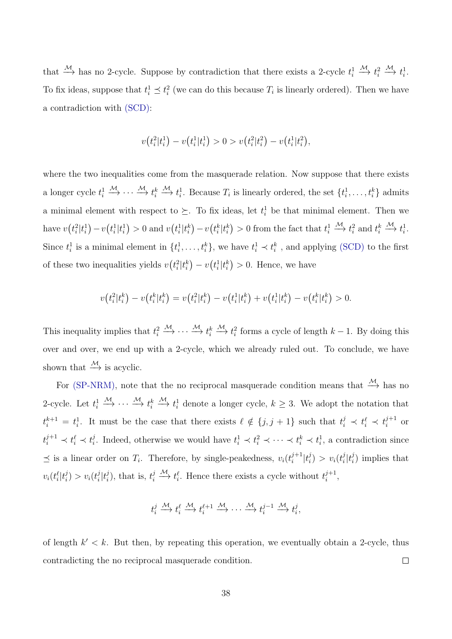that  $\stackrel{\mathcal{M}}{\longrightarrow}$  has no 2-cycle. Suppose by contradiction that there exists a 2-cycle  $t_i^1$  $\xrightarrow{\mathcal{M}} t_i^2$  $\xrightarrow{\mathcal{M}} t_i^1$ . To fix ideas, suppose that  $t_i^1 \leq t_i^2$  (we can do this because  $T_i$  is linearly ordered). Then we have a contradiction with (SCD):

$$
v(t_i^2|t_i^1) - v(t_i^1|t_i^1) > 0 > v(t_i^2|t_i^2) - v(t_i^1|t_i^2),
$$

where the two inequalities come from the masquerade relation. Now suppose that there exists a longer cycle  $t_i^1$  $\stackrel{\mathcal{M}}{\longrightarrow} \cdots \stackrel{\mathcal{M}}{\longrightarrow} t_i^k$  $\xrightarrow{\mathcal{M}} t_i^1$ . Because  $T_i$  is linearly ordered, the set  $\{t_i^1, \ldots, t_i^k\}$  admits a minimal element with respect to  $\succeq$ . To fix ideas, let  $t_i^1$  be that minimal element. Then we have  $v(t_i^2|t_i^1) - v(t_i^1|t_i^1) > 0$  and  $v(t_i^1|t_i^k) - v(t_i^k|t_i^k) > 0$  from the fact that  $t_i^1$  $\xrightarrow{\mathcal{M}} t_i^2$  and  $t_i^k$  $\xrightarrow{\mathcal{M}} t_i^1$ . Since  $t_i^1$  is a minimal element in  $\{t_i^1, \ldots, t_i^k\}$ , we have  $t_i^1 \prec t_i^k$ , and applying (SCD) to the first of these two inequalities yields  $v(t_i^2|t_i^k) - v(t_i^1|t_i^k) > 0$ . Hence, we have

$$
v(t_i^2|t_i^k) - v(t_i^k|t_i^k) = v(t_i^2|t_i^k) - v(t_i^1|t_i^k) + v(t_i^1|t_i^k) - v(t_i^k|t_i^k) > 0.
$$

This inequality implies that  $t_i^2$  $\stackrel{\mathcal{M}}{\longrightarrow} \cdots \stackrel{\mathcal{M}}{\longrightarrow} t_i^k$  $\xrightarrow{\mathcal{M}} t_i^2$  forms a cycle of length  $k-1$ . By doing this over and over, we end up with a 2-cycle, which we already ruled out. To conclude, we have shown that  $\stackrel{\mathcal{M}}{\longrightarrow}$  is acyclic.

For (SP-NRM), note that the no reciprocal masquerade condition means that  $\stackrel{\mathcal{M}}{\rightarrow}$  has no 2-cycle. Let  $t_i^1$  $\stackrel{\mathcal{M}}{\longrightarrow} \cdots \stackrel{\mathcal{M}}{\longrightarrow} t_i^k$  $\stackrel{\mathcal{M}}{\longrightarrow} t_i^1$  denote a longer cycle,  $k \geq 3$ . We adopt the notation that  $t_i^{k+1} = t_i^1$ . It must be the case that there exists  $\ell \notin \{j, j + 1\}$  such that  $t_i^j \prec t_i^{\ell} \prec t_i^{j+1}$  $i^{j+1}$  or  $t_i^{j+1} \prec t_i^{\ell} \prec t_i^j$ i. Indeed, otherwise we would have  $t_i^1 \prec t_i^2 \prec \cdots \prec t_i^k \prec t_i^1$ , a contradiction since  $\preceq$  is a linear order on  $T_i$ . Therefore, by single-peakedness,  $v_i(t_i^{j+1})$  $i^{j+1}$ <sub> $i$ </sub>  $\binom{j}{i} > v_i(t_i^j)$  $_{i}^{j}|t_{i}^{j}$  $i)$  implies that  $v_i(t^\ell_i|t^j_i)$  $\binom{j}{i} > v_i(t_i^j)$  $_{i}^{j}|t_{i}^{j}$  $i_j$ , that is,  $t_i^j$ i  $\xrightarrow{\mathcal{M}} t_i^{\ell}$ . Hence there exists a cycle without  $t_i^{j+1}$  $i^{j+1},$ 

$$
t_i^j \xrightarrow{M} t_i^{\ell} \xrightarrow{M} t_i^{\ell+1} \xrightarrow{M} \cdots \xrightarrow{M} t_i^{j-1} \xrightarrow{M} t_i^j,
$$

of length  $k' < k$ . But then, by repeating this operation, we eventually obtain a 2-cycle, thus contradicting the no reciprocal masquerade condition.  $\Box$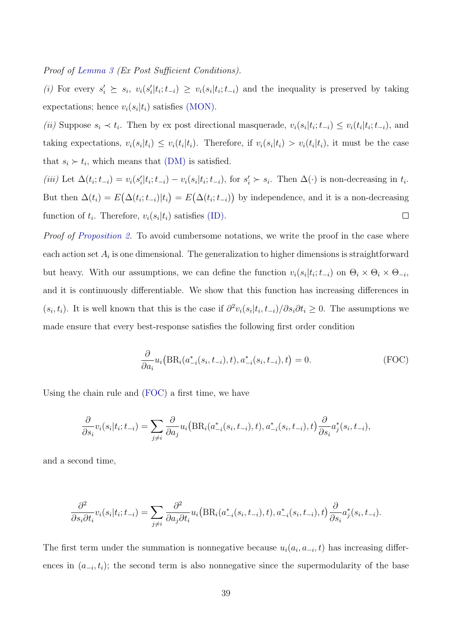Proof of [Lemma 3](#page-19-3) (Ex Post Sufficient Conditions).

(i) For every  $s'_i \geq s_i$ ,  $v_i(s'_i|t_i; t_{-i}) \geq v_i(s_i|t_i; t_{-i})$  and the inequality is preserved by taking expectations; hence  $v_i(s_i|t_i)$  satisfies (MON).

(ii) Suppose  $s_i \prec t_i$ . Then by ex post directional masquerade,  $v_i(s_i|t_i;t_{-i}) \leq v_i(t_i|t_i;t_{-i})$ , and taking expectations,  $v_i(s_i|t_i) \leq v_i(t_i|t_i)$ . Therefore, if  $v_i(s_i|t_i) > v_i(t_i|t_i)$ , it must be the case that  $s_i \succ t_i$ , which means that (DM) is satisfied.

(iii) Let  $\Delta(t_i; t_{-i}) = v_i(s'_i|t_i; t_{-i}) - v_i(s_i|t_i; t_{-i})$ , for  $s'_i \succ s_i$ . Then  $\Delta(\cdot)$  is non-decreasing in  $t_i$ . But then  $\Delta(t_i) = E(\Delta(t_i; t_{-i})|t_i) = E(\Delta(t_i; t_{-i}))$  by independence, and it is a non-decreasing function of  $t_i$ . Therefore,  $v_i(s_i|t_i)$  satisfies (ID).  $\Box$ 

Proof of [Proposition 2.](#page-22-0) To avoid cumbersome notations, we write the proof in the case where each action set  $A_i$  is one dimensional. The generalization to higher dimensions is straightforward but heavy. With our assumptions, we can define the function  $v_i(s_i|t_i;t_{-i})$  on  $\Theta_i \times \Theta_i \times \Theta_{-i}$ , and it is continuously differentiable. We show that this function has increasing differences in  $(s_i, t_i)$ . It is well known that this is the case if  $\partial^2 v_i(s_i|t_i, t_{-i})/\partial s_i \partial t_i \geq 0$ . The assumptions we made ensure that every best-response satisfies the following first order condition

<span id="page-38-0"></span>
$$
\frac{\partial}{\partial a_i} u_i \big( BR_i(a_{-i}^*(s_i, t_{-i}), t), a_{-i}^*(s_i, t_{-i}), t \big) = 0.
$$
 (FOC)

Using the chain rule and [\(FOC\)](#page-38-0) a first time, we have

$$
\frac{\partial}{\partial s_i}v_i(s_i|t_i;t_{-i}) = \sum_{j\neq i} \frac{\partial}{\partial a_j}u_i\big(\text{BR}_i(a_{-i}^*(s_i,t_{-i}),t),a_{-i}^*(s_i,t_{-i}),t\big)\frac{\partial}{\partial s_i}a_j^*(s_i,t_{-i}),
$$

and a second time,

$$
\frac{\partial^2}{\partial s_i \partial t_i} v_i(s_i|t_i; t_{-i}) = \sum_{j \neq i} \frac{\partial^2}{\partial a_j \partial t_i} u_i \big( BR_i(a_{-i}^*(s_i, t_{-i}), t), a_{-i}^*(s_i, t_{-i}), t \big) \frac{\partial}{\partial s_i} a_j^*(s_i, t_{-i}).
$$

The first term under the summation is nonnegative because  $u_i(a_i, a_{-i}, t)$  has increasing differences in  $(a_{-i}, t_i)$ ; the second term is also nonnegative since the supermodularity of the base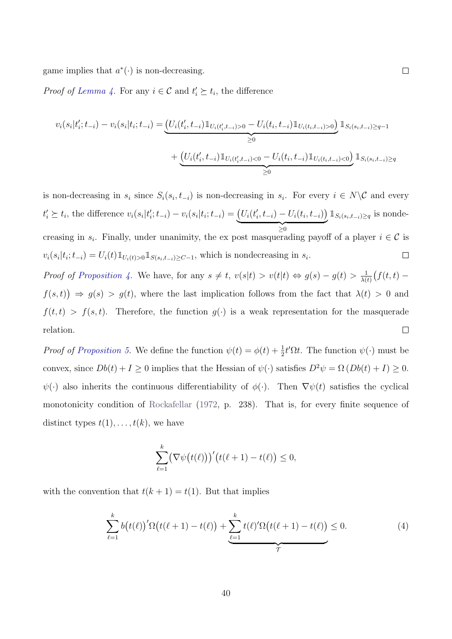game implies that  $a^*(\cdot)$  is non-decreasing.

*Proof of [Lemma 4.](#page-26-2)* For any  $i \in \mathcal{C}$  and  $t'_i \succeq t_i$ , the difference

$$
v_i(s_i|t'_i; t_{-i}) - v_i(s_i|t_i; t_{-i}) = \underbrace{\left(U_i(t'_i, t_{-i}) \mathbbm{1}_{U_i(t'_i, t_{-i})>0} - U_i(t_i, t_{-i}) \mathbbm{1}_{U_i(t_i, t_{-i})>0}\right)}_{\geq 0} \mathbbm{1}_{S_i(s_i, t_{-i}) \geq q-1}
$$
  
+ 
$$
\underbrace{\left(U_i(t'_i, t_{-i}) \mathbbm{1}_{U_i(t'_i, t_{-i})<0} - U_i(t_i, t_{-i}) \mathbbm{1}_{U_i(t_i, t_{-i})<0}\right)}_{\geq 0} \mathbbm{1}_{S_i(s_i, t_{-i}) \geq q}
$$

is non-decreasing in  $s_i$  since  $S_i(s_i, t_{-i})$  is non-decreasing in  $s_i$ . For every  $i \in N \backslash \mathcal{C}$  and every  $\mathbb{1}_{S_i(s_i,t_{-i})\geq q}$  is nonde $t'_{i} \geq t_{i}$ , the difference  $v_{i}(s_{i}|t'_{i}; t_{-i}) - v_{i}(s_{i}|t_{i}; t_{-i}) = (U_{i}(t'_{i}, t_{-i}) - U_{i}(t_{i}, t_{-i}))$  $\geq 0$ creasing in  $s_i$ . Finally, under unanimity, the ex post masquerading payoff of a player  $i \in \mathcal{C}$  is  $v_i(s_i|t_i;t_{-i}) = U_i(t) \mathbb{1}_{U_i(t)>0} \mathbb{1}_{S(s_i,t_{-i})\geq C-1}$ , which is nondecreasing in  $s_i$ .  $\Box$ 

Proof of [Proposition 4.](#page-29-2) We have, for any  $s \neq t$ ,  $v(s|t) > v(t|t) \Leftrightarrow g(s) - g(t) > \frac{1}{\lambda(s)}$  $\frac{1}{\lambda(t)}\big(f(t,t)$  $f(s,t)$   $\Rightarrow$   $g(s) > g(t)$ , where the last implication follows from the fact that  $\lambda(t) > 0$  and  $f(t, t) > f(s, t)$ . Therefore, the function  $g(\cdot)$  is a weak representation for the masquerade relation.  $\Box$ 

*Proof of Proposition 5*. We define the function  $\psi(t) = \phi(t) + \frac{1}{2}t'\Omega t$ . The function  $\psi(\cdot)$  must be convex, since  $Db(t) + I \ge 0$  implies that the Hessian of  $\psi(\cdot)$  satisfies  $D^2 \psi = \Omega (Db(t) + I) \ge 0$ .  $\psi(\cdot)$  also inherits the continuous differentiability of  $\phi(\cdot)$ . Then  $\nabla \psi(t)$  satisfies the cyclical monotonicity condition of [Rockafellar](#page-45-12) [\(1972,](#page-45-12) p. 238). That is, for every finite sequence of distinct types  $t(1), \ldots, t(k)$ , we have

$$
\sum_{\ell=1}^k \bigl(\nabla \psi(t(\ell))\bigr)' \bigl(t(\ell+1) - t(\ell)\bigr) \leq 0,
$$

with the convention that  $t(k + 1) = t(1)$ . But that implies

<span id="page-39-0"></span>
$$
\sum_{\ell=1}^{k} b(t(\ell))' \Omega(t(\ell+1) - t(\ell)) + \underbrace{\sum_{\ell=1}^{k} t(\ell)' \Omega(t(\ell+1) - t(\ell))}_{\mathcal{T}} \leq 0. \tag{4}
$$

 $\Box$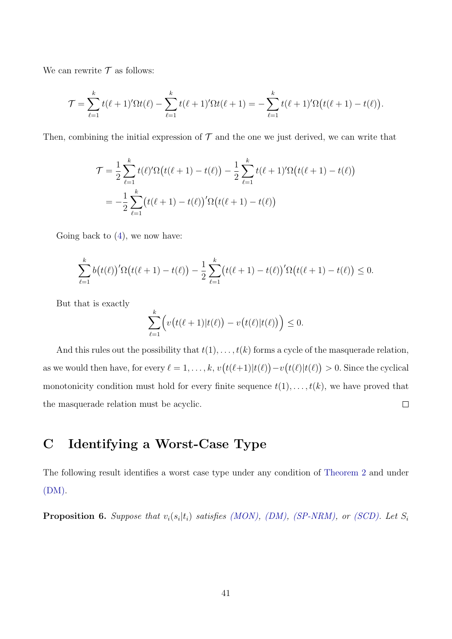We can rewrite  $\mathcal T$  as follows:

$$
\mathcal{T} = \sum_{\ell=1}^k t(\ell+1)'\Omega t(\ell) - \sum_{\ell=1}^k t(\ell+1)'\Omega t(\ell+1) = -\sum_{\ell=1}^k t(\ell+1)'\Omega \big(t(\ell+1) - t(\ell)\big).
$$

Then, combining the initial expression of  $\mathcal T$  and the one we just derived, we can write that

$$
\mathcal{T} = \frac{1}{2} \sum_{\ell=1}^{k} t(\ell)' \Omega(t(\ell+1) - t(\ell)) - \frac{1}{2} \sum_{\ell=1}^{k} t(\ell+1)' \Omega(t(\ell+1) - t(\ell))
$$
  
= 
$$
-\frac{1}{2} \sum_{\ell=1}^{k} (t(\ell+1) - t(\ell))' \Omega(t(\ell+1) - t(\ell))
$$

Going back to  $(4)$ , we now have:

$$
\sum_{\ell=1}^k b(t(\ell))^{\prime} \Omega(t(\ell+1) - t(\ell)) - \frac{1}{2} \sum_{\ell=1}^k (t(\ell+1) - t(\ell))^{\prime} \Omega(t(\ell+1) - t(\ell)) \leq 0.
$$

But that is exactly

$$
\sum_{\ell=1}^k \Bigl(v\bigl(t(\ell+1)|t(\ell)\bigr)-v\bigl(t(\ell)|t(\ell)\bigr)\Bigr)\leq 0.
$$

And this rules out the possibility that  $t(1), \ldots, t(k)$  forms a cycle of the masquerade relation, as we would then have, for every  $\ell = 1, \ldots, k$ ,  $v(t(\ell+1)|t(\ell)) - v(t(\ell)|t(\ell)) > 0$ . Since the cyclical monotonicity condition must hold for every finite sequence  $t(1), \ldots, t(k)$ , we have proved that  $\Box$ the masquerade relation must be acyclic.

# <span id="page-40-0"></span>C Identifying a Worst-Case Type

The following result identifies a worst case type under any condition of [Theorem 2](#page-18-0) and under (DM).

<span id="page-40-1"></span>**Proposition 6.** Suppose that  $v_i(s_i|t_i)$  satisfies (MON), (DM), (SP-NRM), or (SCD). Let  $S_i$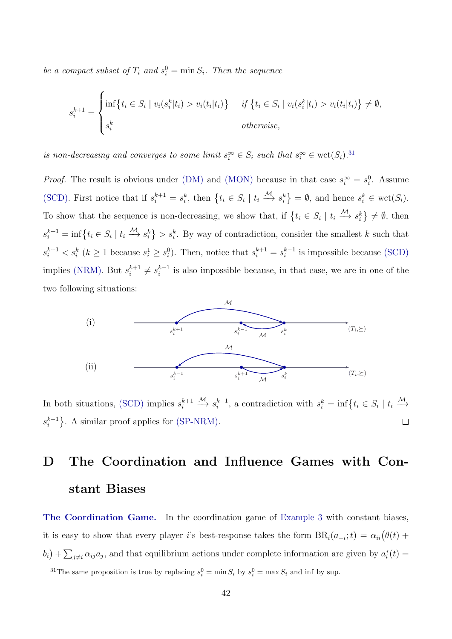be a compact subset of  $T_i$  and  $s_i^0 = \min S_i$ . Then the sequence

$$
s_i^{k+1} = \begin{cases} \inf\{t_i \in S_i \mid v_i(s_i^k | t_i) > v_i(t_i | t_i)\} & \text{if } \{t_i \in S_i \mid v_i(s_i^k | t_i) > v_i(t_i | t_i)\} \neq \emptyset, \\ s_i^k & \text{otherwise,} \end{cases}
$$

is non-decreasing and converges to some limit  $s_i^{\infty} \in S_i$  such that  $s_i^{\infty} \in \text{wct}(S_i)$ .<sup>[31](#page-41-1)</sup>

*Proof.* The result is obvious under (DM) and (MON) because in that case  $s_i^{\infty} = s_i^0$ . Assume (SCD). First notice that if  $s_i^{k+1} = s_i^k$ , then  $\{t_i \in S_i \mid t_i \stackrel{\mathcal{M}}{\longrightarrow} s_i^k\} = \emptyset$ , and hence  $s_i^k \in \text{wct}(S_i)$ . To show that the sequence is non-decreasing, we show that, if  $\{t_i \in S_i \mid t_i \stackrel{\mathcal{M}}{\longrightarrow} s_i^k\} \neq \emptyset$ , then  $s_i^{k+1} = \inf\{t_i \in S_i \mid t_i \stackrel{\mathcal{M}}{\longrightarrow} s_i^k\} > s_i^k$ . By way of contradiction, consider the smallest k such that  $s_i^{k+1} < s_i^k$  ( $k \ge 1$  because  $s_i^1 \ge s_i^0$ ). Then, notice that  $s_i^{k+1} = s_i^{k-1}$  $i^{k-1}$  is impossible because (SCD) implies (NRM). But  $s_i^{k+1}$  $s_i^{k+1} \neq s_i^{k-1}$  $i^{k-1}$  is also impossible because, in that case, we are in one of the two following situations:



 $\xrightarrow{\mathcal{M}} s_i^{k-1}$  $i^{k-1}$ , a contradiction with  $s_i^k = \inf\{t_i \in S_i \mid t_i \stackrel{\mathcal{M}}{\longrightarrow} \}$ In both situations, (SCD) implies  $s_i^{k+1}$ i  $s_i^{k-1}$  $\binom{k-1}{i}$ . A similar proof applies for (SP-NRM).  $\Box$ 

# <span id="page-41-0"></span>D The Coordination and Influence Games with Constant Biases

The Coordination Game. In the coordination game of [Example 3](#page-22-2) with constant biases, it is easy to show that every player i's best-response takes the form  $BR_i(a_{-i}; t) = \alpha_{ii}(\theta(t) +$  $(b_i) + \sum_{j \neq i} \alpha_{ij} a_j$ , and that equilibrium actions under complete information are given by  $a_i^*(t) =$ 

<span id="page-41-1"></span><sup>&</sup>lt;sup>31</sup>The same proposition is true by replacing  $s_i^0 = \min S_i$  by  $s_i^0 = \max S_i$  and inf by sup.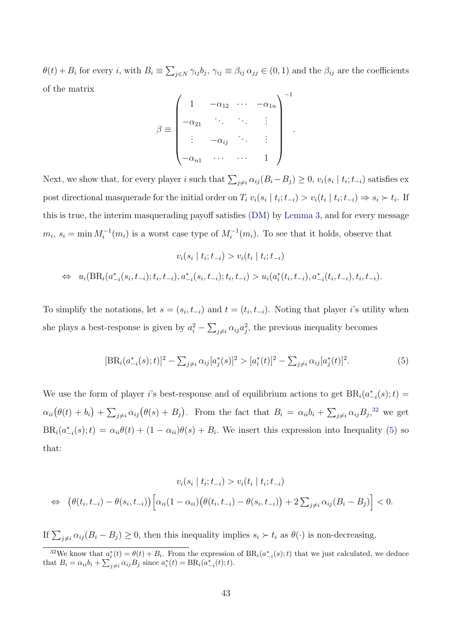$\theta(t) + B_i$  for every *i*, with  $B_i \equiv \sum_{j \in N} \gamma_{ij} b_j$ ,  $\gamma_{ij} \equiv \beta_{ij} \alpha_{jj} \in (0, 1)$  and the  $\beta_{ij}$  are the coefficients of the matrix

$$
\beta \equiv \begin{pmatrix}\n1 & -\alpha_{12} & \cdots & -\alpha_{1n} \\
-\alpha_{21} & \ddots & \ddots & \vdots \\
\vdots & -\alpha_{ij} & \ddots & \vdots \\
-\alpha_{n1} & \cdots & \cdots & 1\n\end{pmatrix}^{-1}
$$

.

Next, we show that, for every player i such that  $\sum_{j\neq i} \alpha_{ij} (B_i - B_j) \geq 0$ ,  $v_i(s_i | t_i; t_{-i})$  satisfies ex post directional masquerade for the initial order on  $T_i v_i(s_i | t_i; t_{-i}) > v_i(t_i | t_i; t_{-i}) \Rightarrow s_i \succ t_i$ . If this is true, the interim masquerading payoff satisfies (DM) by [Lemma 3,](#page-19-3) and for every message  $m_i, s_i = \min M_i^{-1}(m_i)$  is a worst case type of  $M_i^{-1}(m_i)$ . To see that it holds, observe that

$$
v_i(s_i | t_i; t_{-i}) > v_i(t_i | t_i; t_{-i})
$$
  
\n
$$
\Leftrightarrow u_i(\text{BR}_i(a^*_{-i}(s_i, t_{-i}); t_i, t_{-i}), a^*_{-i}(s_i, t_{-i}); t_i, t_{-i}) > u_i(a^*_i(t_i, t_{-i}), a^*_{-i}(t_i, t_{-i}), t_i, t_{-i}).
$$

To simplify the notations, let  $s = (s_i, t_{-i})$  and  $t = (t_i, t_{-i})$ . Noting that player *i*'s utility when she plays a best-response is given by  $a_i^2 - \sum_{j \neq i} \alpha_{ij} a_j^2$ , the previous inequality becomes

<span id="page-42-1"></span>
$$
[\text{BR}_i(a_{-i}^*(s);t)]^2 - \sum_{j \neq i} \alpha_{ij} [a_j^*(s)]^2 > [a_i^*(t)]^2 - \sum_{j \neq i} \alpha_{ij} [a_j^*(t)]^2.
$$
 (5)

We use the form of player i's best-response and of equilibrium actions to get  $BR_i(a_{-i}^*(s);t) =$  $\alpha_{ii}(\theta(t)+b_i)+\sum_{j\neq i}\alpha_{ij}(\theta(s)+B_j)$ . From the fact that  $B_i = \alpha_{ii}b_i+\sum_{j\neq i}\alpha_{ij}B_j$ <sup>[32](#page-42-0)</sup> we get  $BR_i(a_{-i}^*(s);t) = \alpha_{ii}\theta(t) + (1-\alpha_{ii})\theta(s) + B_i$ . We insert this expression into Inequality [\(5\)](#page-42-1) so that:

$$
v_i(s_i | t_i; t_{-i}) > v_i(t_i | t_i; t_{-i})
$$
  
\n
$$
\Leftrightarrow (\theta(t_i, t_{-i}) - \theta(s_i, t_{-i})) [\alpha_{ii}(1 - \alpha_{ii})(\theta(t_i, t_{-i}) - \theta(s_i, t_{-i})) + 2 \sum_{j \neq i} \alpha_{ij}(B_i - B_j)] < 0.
$$

If  $\sum_{j\neq i} \alpha_{ij} (B_i - B_j) \geq 0$ , then this inequality implies  $s_i \succ t_i$  as  $\theta(\cdot)$  is non-decreasing.

<span id="page-42-0"></span><sup>&</sup>lt;sup>32</sup>We know that  $a_i^*(t) = \theta(t) + B_i$ . From the expression of  $BR_i(a_{-i}^*(s);t)$  that we just calculated, we deduce that  $B_i = \alpha_{ii}b_i + \sum_{j \neq i} \alpha_{ij}B_j$  since  $a_i^*(t) = BR_i(a_{-i}^*(t); t)$ .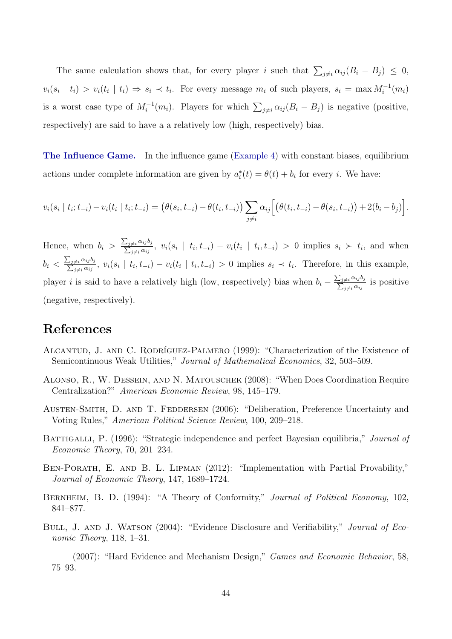The same calculation shows that, for every player i such that  $\sum_{j\neq i} \alpha_{ij} (B_i - B_j) \leq 0$ ,  $v_i(s_i \mid t_i) > v_i(t_i \mid t_i) \Rightarrow s_i \prec t_i$ . For every message  $m_i$  of such players,  $s_i = \max M_i^{-1}(m_i)$ is a worst case type of  $M_i^{-1}(m_i)$ . Players for which  $\sum_{j\neq i} \alpha_{ij} (B_i - B_j)$  is negative (positive, respectively) are said to have a a relatively low (high, respectively) bias.

The Influence Game. In the influence game [\(Example 4\)](#page-23-2) with constant biases, equilibrium actions under complete information are given by  $a_i^*(t) = \theta(t) + b_i$  for every *i*. We have:

$$
v_i(s_i | t_i; t_{-i}) - v_i(t_i | t_i; t_{-i}) = (\theta(s_i, t_{-i}) - \theta(t_i, t_{-i})) \sum_{j \neq i} \alpha_{ij} \Big[ (\theta(t_i, t_{-i}) - \theta(s_i, t_{-i})) + 2(b_i - b_j) \Big].
$$

Hence, when  $b_i > \frac{\sum_{i}^{n} a_i}{\sum_{i}^{n} a_i}$ P  $_{j\neq i} \alpha_{ij} b_j$  $\frac{\partial f_i}{\partial t_i} \frac{\partial f_j}{\partial x_j}$ ,  $v_i(s_i \mid t_i, t_{-i}) - v_i(t_i \mid t_i, t_{-i}) > 0$  implies  $s_i \succ t_i$ , and when  $b_i < \frac{\sum}{\overline{\lambda}}$ P  $_{j\neq i} \alpha_{ij} b_j$  $\frac{\partial f_i}{\partial t_i} \frac{\partial f_j}{\partial t_j}$ ,  $v_i(s_i \mid t_i, t_{-i}) - v_i(t_i \mid t_i, t_{-i}) > 0$  implies  $s_i \prec t_i$ . Therefore, in this example, player *i* is said to have a relatively high (low, respectively) bias when  $b_i - \frac{\sum_{i=1}^{n} a_i}{\sum_{i=1}^{n} a_i}$  $\sum$  $_{j\neq i} \alpha_{ij} b_j$  $\frac{\neq i \alpha_{ij} \sigma_j}{\neq i \alpha_{ij}}$  is positive (negative, respectively).

## References

- <span id="page-43-7"></span>ALCANTUD, J. AND C. RODRÍGUEZ-PALMERO (1999): "Characterization of the Existence of Semicontinuous Weak Utilities," Journal of Mathematical Economics, 32, 503–509.
- <span id="page-43-5"></span>Alonso, R., W. Dessein, and N. Matouschek (2008): "When Does Coordination Require Centralization?" American Economic Review, 98, 145–179.
- <span id="page-43-3"></span>AUSTEN-SMITH, D. AND T. FEDDERSEN (2006): "Deliberation, Preference Uncertainty and Voting Rules," American Political Science Review, 100, 209–218.
- <span id="page-43-4"></span>BATTIGALLI, P. (1996): "Strategic independence and perfect Bayesian equilibria," *Journal of* Economic Theory, 70, 201–234.
- <span id="page-43-2"></span>BEN-PORATH, E. AND B. L. LIPMAN (2012): "Implementation with Partial Provability," Journal of Economic Theory, 147, 1689–1724.
- <span id="page-43-6"></span>BERNHEIM, B. D. (1994): "A Theory of Conformity," Journal of Political Economy, 102, 841–877.
- <span id="page-43-0"></span>BULL, J. AND J. WATSON (2004): "Evidence Disclosure and Verifiability," Journal of Economic Theory, 118, 1–31.
- <span id="page-43-1"></span>– (2007): "Hard Evidence and Mechanism Design," Games and Economic Behavior, 58, 75–93.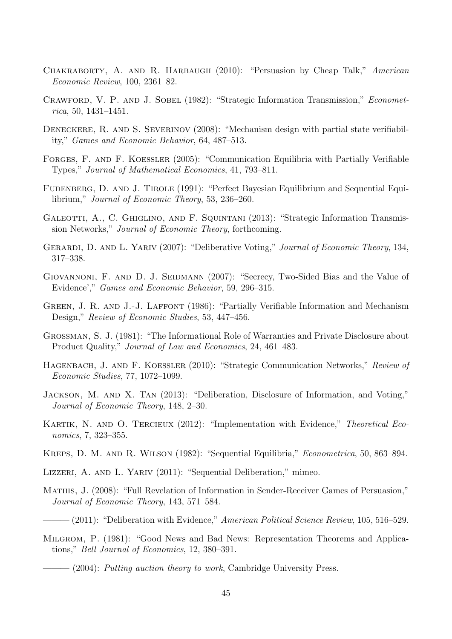- <span id="page-44-15"></span>Chakraborty, A. and R. Harbaugh (2010): "Persuasion by Cheap Talk," American Economic Review, 100, 2361–82.
- <span id="page-44-16"></span>CRAWFORD, V. P. AND J. SOBEL (1982): "Strategic Information Transmission," *Economet*rica, 50, 1431–1451.
- <span id="page-44-3"></span>DENECKERE, R. AND S. SEVERINOV (2008): "Mechanism design with partial state verifiability," Games and Economic Behavior, 64, 487–513.
- <span id="page-44-12"></span>Forges, F. and F. Koessler (2005): "Communication Equilibria with Partially Verifiable Types," Journal of Mathematical Economics, 41, 793–811.
- <span id="page-44-14"></span>Fudenberg, D. and J. Tirole (1991): "Perfect Bayesian Equilibrium and Sequential Equilibrium," Journal of Economic Theory, 53, 236–260.
- <span id="page-44-18"></span>GALEOTTI, A., C. GHIGLINO, AND F. SQUINTANI (2013): "Strategic Information Transmission Networks," Journal of Economic Theory, forthcoming.
- <span id="page-44-8"></span>GERARDI, D. AND L. YARIV (2007): "Deliberative Voting," Journal of Economic Theory, 134, 317–338.
- <span id="page-44-6"></span>GIOVANNONI, F. AND D. J. SEIDMANN (2007): "Secrecy, Two-Sided Bias and the Value of Evidence'," Games and Economic Behavior, 59, 296–315.
- <span id="page-44-2"></span>GREEN, J. R. AND J.-J. LAFFONT (1986): "Partially Verifiable Information and Mechanism Design," Review of Economic Studies, 53, 447–456.
- <span id="page-44-0"></span>Grossman, S. J. (1981): "The Informational Role of Warranties and Private Disclosure about Product Quality," Journal of Law and Economics, 24, 461–483.
- <span id="page-44-17"></span>HAGENBACH, J. AND F. KOESSLER (2010): "Strategic Communication Networks," Review of Economic Studies, 77, 1072–1099.
- <span id="page-44-9"></span>Jackson, M. and X. Tan (2013): "Deliberation, Disclosure of Information, and Voting," Journal of Economic Theory, 148, 2–30.
- <span id="page-44-4"></span>KARTIK, N. AND O. TERCIEUX (2012): "Implementation with Evidence," Theoretical Economics, 7, 323–355.
- <span id="page-44-5"></span>Kreps, D. M. and R. Wilson (1982): "Sequential Equilibria," Econometrica, 50, 863–894.
- <span id="page-44-10"></span>Lizzeri, A. and L. Yariv (2011): "Sequential Deliberation," mimeo.
- <span id="page-44-13"></span>Mathis, J. (2008): "Full Revelation of Information in Sender-Receiver Games of Persuasion," Journal of Economic Theory, 143, 571–584.
- <span id="page-44-11"></span> $-(2011)$ : "Deliberation with Evidence," American Political Science Review, 105, 516–529.
- <span id="page-44-7"></span><span id="page-44-1"></span>MILGROM, P. (1981): "Good News and Bad News: Representation Theorems and Applications," Bell Journal of Economics, 12, 380–391.
	- $-$  (2004): Putting auction theory to work, Cambridge University Press.